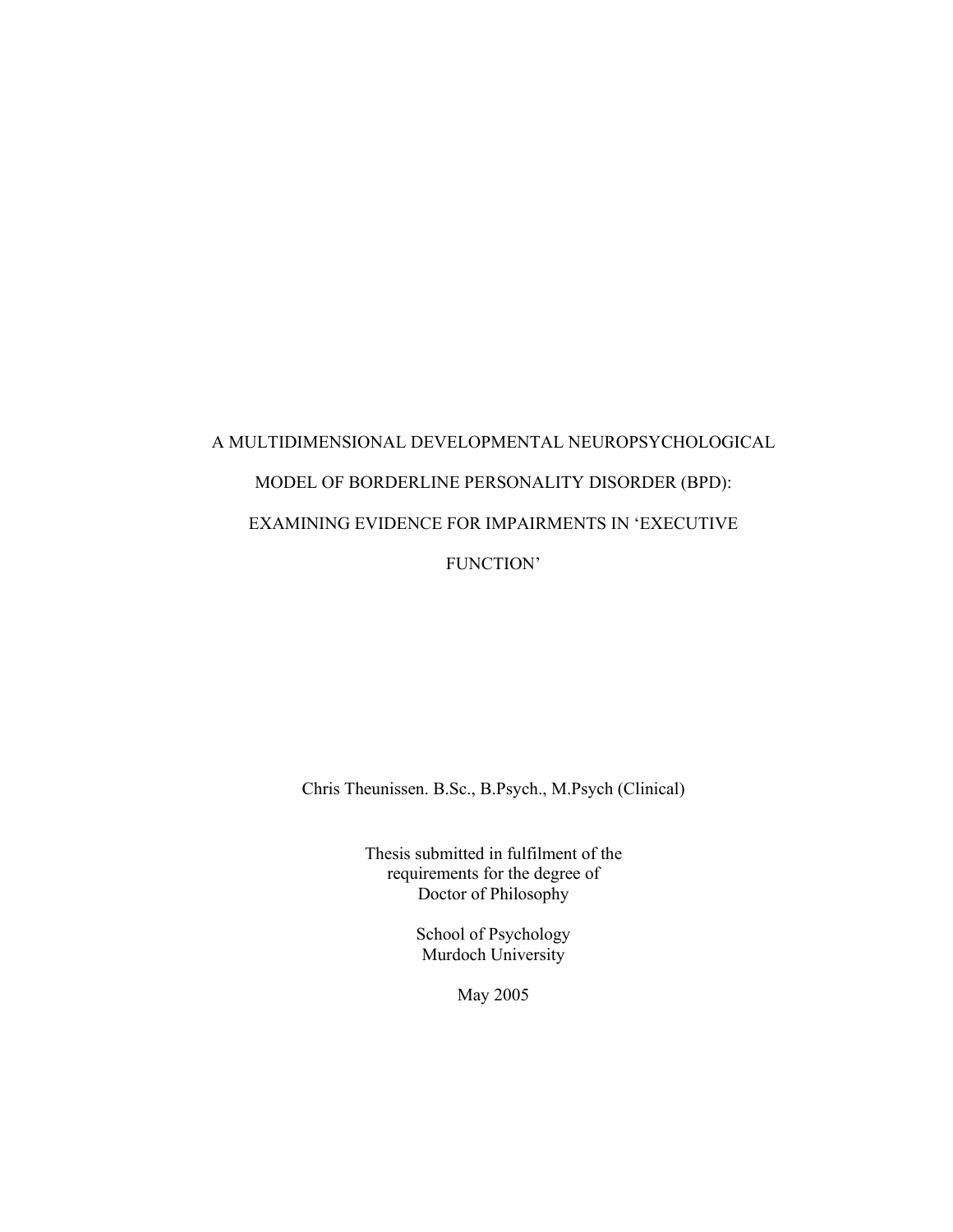# A MULTIDIMENSIONAL DEVELOPMENTAL NEUROPSYCHOLOGICAL MODEL OF BORDERLINE PERSONALITY DISORDER (BPD): EXAMINING EVIDENCE FOR IMPAIRMENTS IN 'EXECUTIVE FUNCTION'

Chris Theunissen. B.Sc., B.Psych., M.Psych (Clinical)

Thesis submitted in fulfilment of the requirements for the degree of Doctor of Philosophy

> School of Psychology Murdoch University

> > May 2005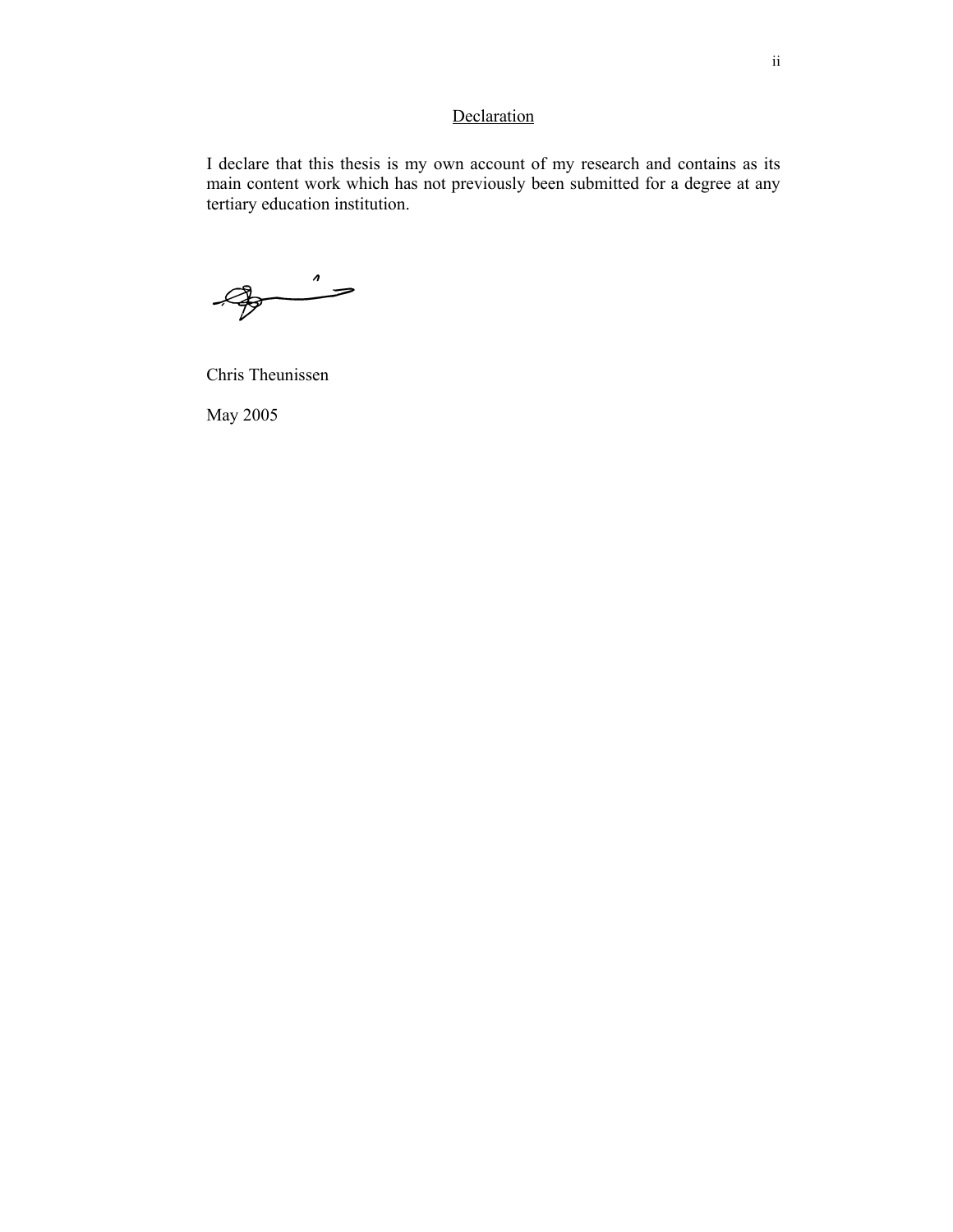## **Declaration**

I declare that this thesis is my own account of my research and contains as its main content work which has not previously been submitted for a degree at any tertiary education institution.

 $\begin{picture}(120,10) \put(0,0){\line(1,0){10}} \put(15,0){\line(1,0){10}} \put(15,0){\line(1,0){10}} \put(15,0){\line(1,0){10}} \put(15,0){\line(1,0){10}} \put(15,0){\line(1,0){10}} \put(15,0){\line(1,0){10}} \put(15,0){\line(1,0){10}} \put(15,0){\line(1,0){10}} \put(15,0){\line(1,0){10}} \put(15,0){\line(1,0){10}} \put(15,0){\line($ 

Chris Theunissen

May 2005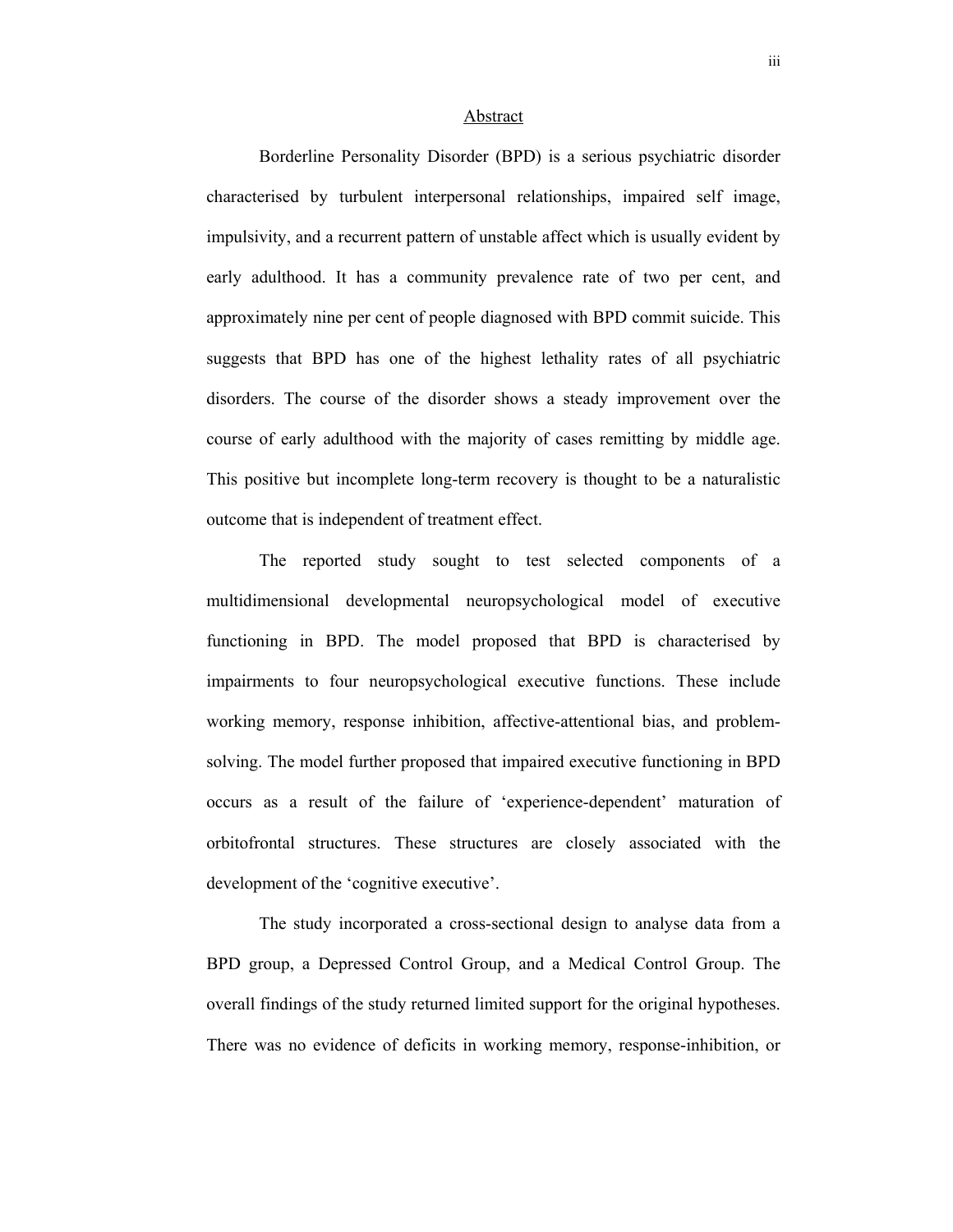#### Abstract

 Borderline Personality Disorder (BPD) is a serious psychiatric disorder characterised by turbulent interpersonal relationships, impaired self image, impulsivity, and a recurrent pattern of unstable affect which is usually evident by early adulthood. It has a community prevalence rate of two per cent, and approximately nine per cent of people diagnosed with BPD commit suicide. This suggests that BPD has one of the highest lethality rates of all psychiatric disorders. The course of the disorder shows a steady improvement over the course of early adulthood with the majority of cases remitting by middle age. This positive but incomplete long-term recovery is thought to be a naturalistic outcome that is independent of treatment effect.

 The reported study sought to test selected components of a multidimensional developmental neuropsychological model of executive functioning in BPD. The model proposed that BPD is characterised by impairments to four neuropsychological executive functions. These include working memory, response inhibition, affective-attentional bias, and problemsolving. The model further proposed that impaired executive functioning in BPD occurs as a result of the failure of 'experience-dependent' maturation of orbitofrontal structures. These structures are closely associated with the development of the 'cognitive executive'.

The study incorporated a cross-sectional design to analyse data from a BPD group, a Depressed Control Group, and a Medical Control Group. The overall findings of the study returned limited support for the original hypotheses. There was no evidence of deficits in working memory, response-inhibition, or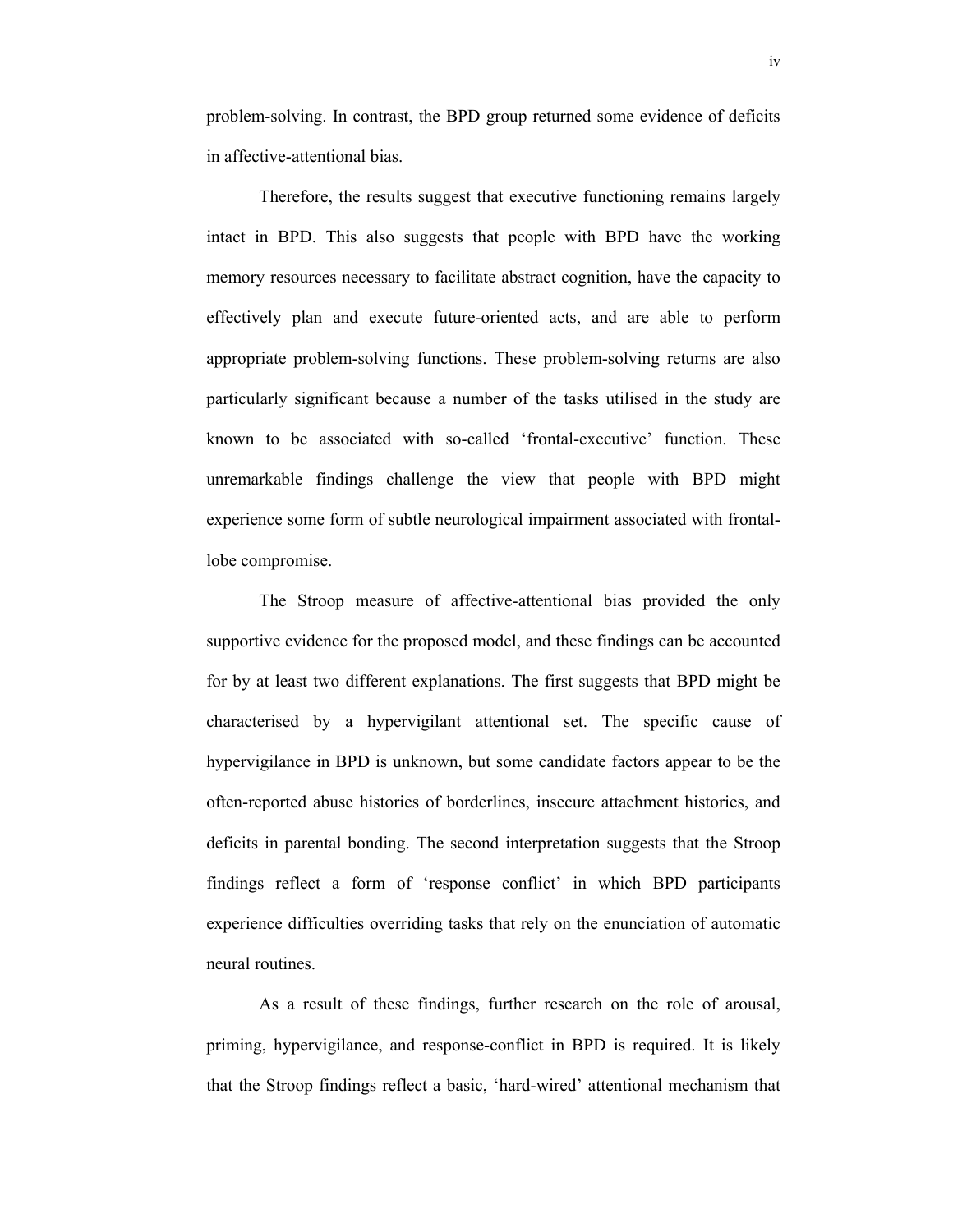problem-solving. In contrast, the BPD group returned some evidence of deficits in affective-attentional bias.

 Therefore, the results suggest that executive functioning remains largely intact in BPD. This also suggests that people with BPD have the working memory resources necessary to facilitate abstract cognition, have the capacity to effectively plan and execute future-oriented acts, and are able to perform appropriate problem-solving functions. These problem-solving returns are also particularly significant because a number of the tasks utilised in the study are known to be associated with so-called 'frontal-executive' function. These unremarkable findings challenge the view that people with BPD might experience some form of subtle neurological impairment associated with frontallobe compromise.

 The Stroop measure of affective-attentional bias provided the only supportive evidence for the proposed model, and these findings can be accounted for by at least two different explanations. The first suggests that BPD might be characterised by a hypervigilant attentional set. The specific cause of hypervigilance in BPD is unknown, but some candidate factors appear to be the often-reported abuse histories of borderlines, insecure attachment histories, and deficits in parental bonding. The second interpretation suggests that the Stroop findings reflect a form of 'response conflict' in which BPD participants experience difficulties overriding tasks that rely on the enunciation of automatic neural routines.

As a result of these findings, further research on the role of arousal, priming, hypervigilance, and response-conflict in BPD is required. It is likely that the Stroop findings reflect a basic, 'hard-wired' attentional mechanism that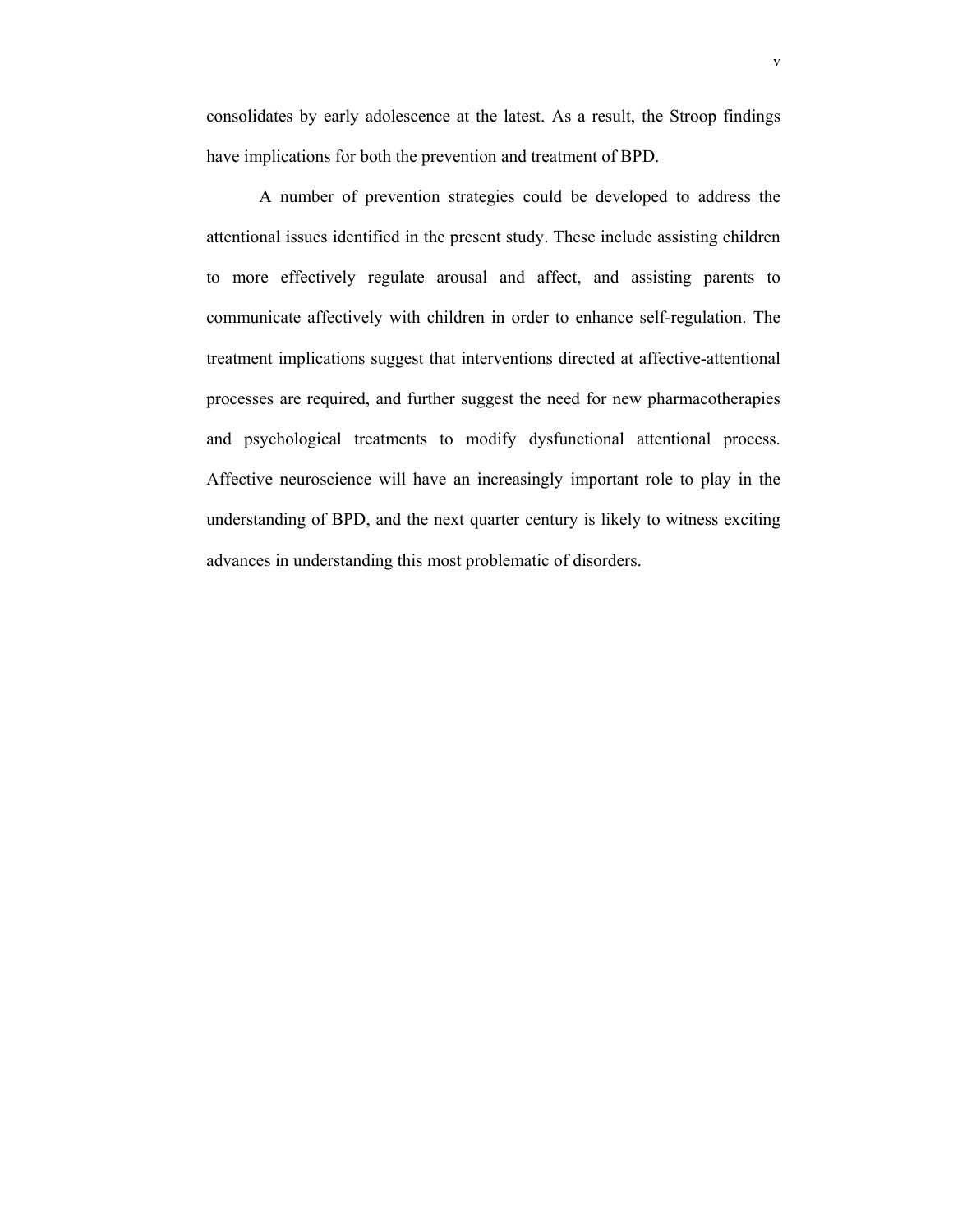consolidates by early adolescence at the latest. As a result, the Stroop findings have implications for both the prevention and treatment of BPD.

 A number of prevention strategies could be developed to address the attentional issues identified in the present study. These include assisting children to more effectively regulate arousal and affect, and assisting parents to communicate affectively with children in order to enhance self-regulation. The treatment implications suggest that interventions directed at affective-attentional processes are required, and further suggest the need for new pharmacotherapies and psychological treatments to modify dysfunctional attentional process. Affective neuroscience will have an increasingly important role to play in the understanding of BPD, and the next quarter century is likely to witness exciting advances in understanding this most problematic of disorders.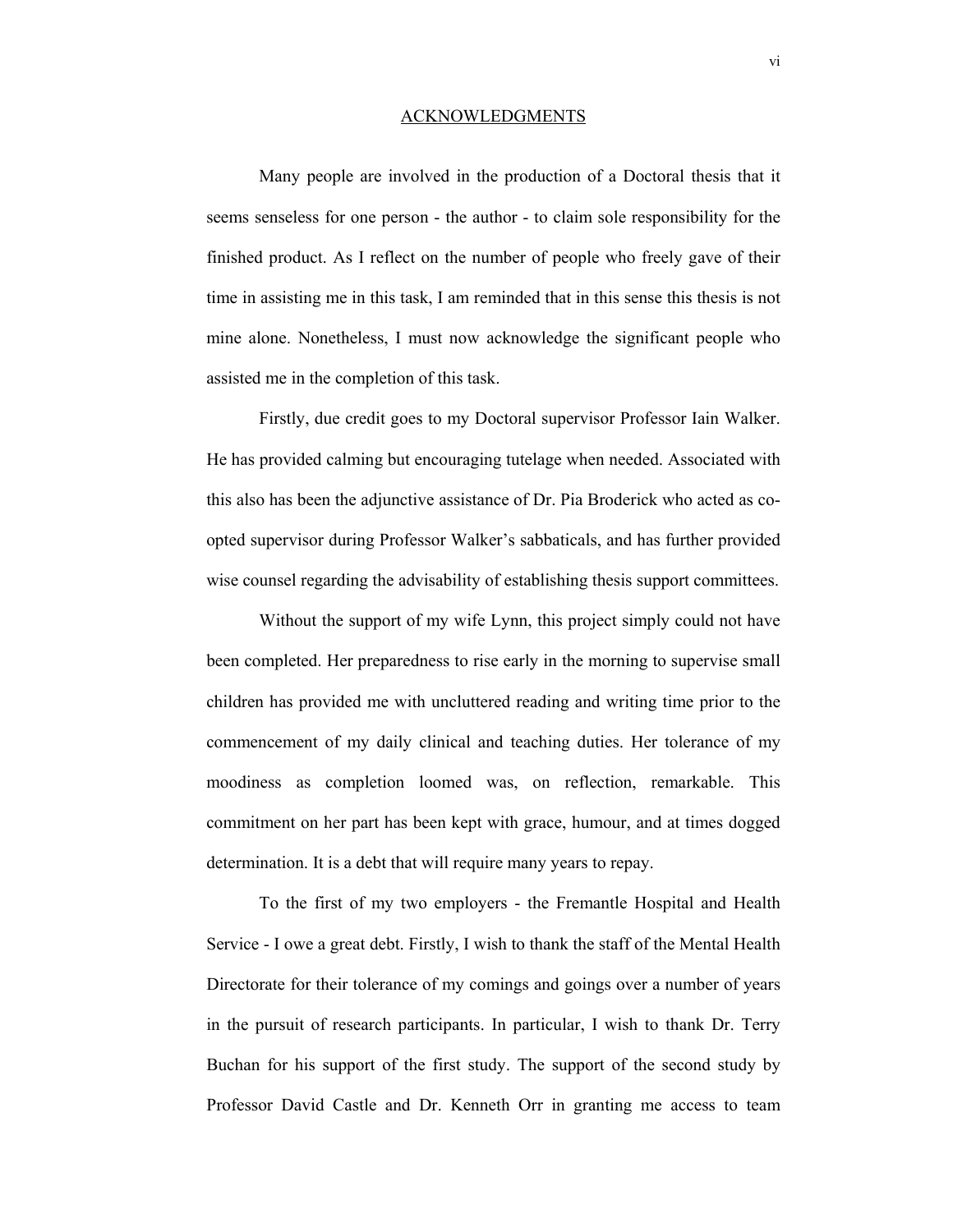#### ACKNOWLEDGMENTS

Many people are involved in the production of a Doctoral thesis that it seems senseless for one person - the author - to claim sole responsibility for the finished product. As I reflect on the number of people who freely gave of their time in assisting me in this task, I am reminded that in this sense this thesis is not mine alone. Nonetheless, I must now acknowledge the significant people who assisted me in the completion of this task.

Firstly, due credit goes to my Doctoral supervisor Professor Iain Walker. He has provided calming but encouraging tutelage when needed. Associated with this also has been the adjunctive assistance of Dr. Pia Broderick who acted as coopted supervisor during Professor Walker's sabbaticals, and has further provided wise counsel regarding the advisability of establishing thesis support committees.

Without the support of my wife Lynn, this project simply could not have been completed. Her preparedness to rise early in the morning to supervise small children has provided me with uncluttered reading and writing time prior to the commencement of my daily clinical and teaching duties. Her tolerance of my moodiness as completion loomed was, on reflection, remarkable. This commitment on her part has been kept with grace, humour, and at times dogged determination. It is a debt that will require many years to repay.

To the first of my two employers - the Fremantle Hospital and Health Service - I owe a great debt. Firstly, I wish to thank the staff of the Mental Health Directorate for their tolerance of my comings and goings over a number of years in the pursuit of research participants. In particular, I wish to thank Dr. Terry Buchan for his support of the first study. The support of the second study by Professor David Castle and Dr. Kenneth Orr in granting me access to team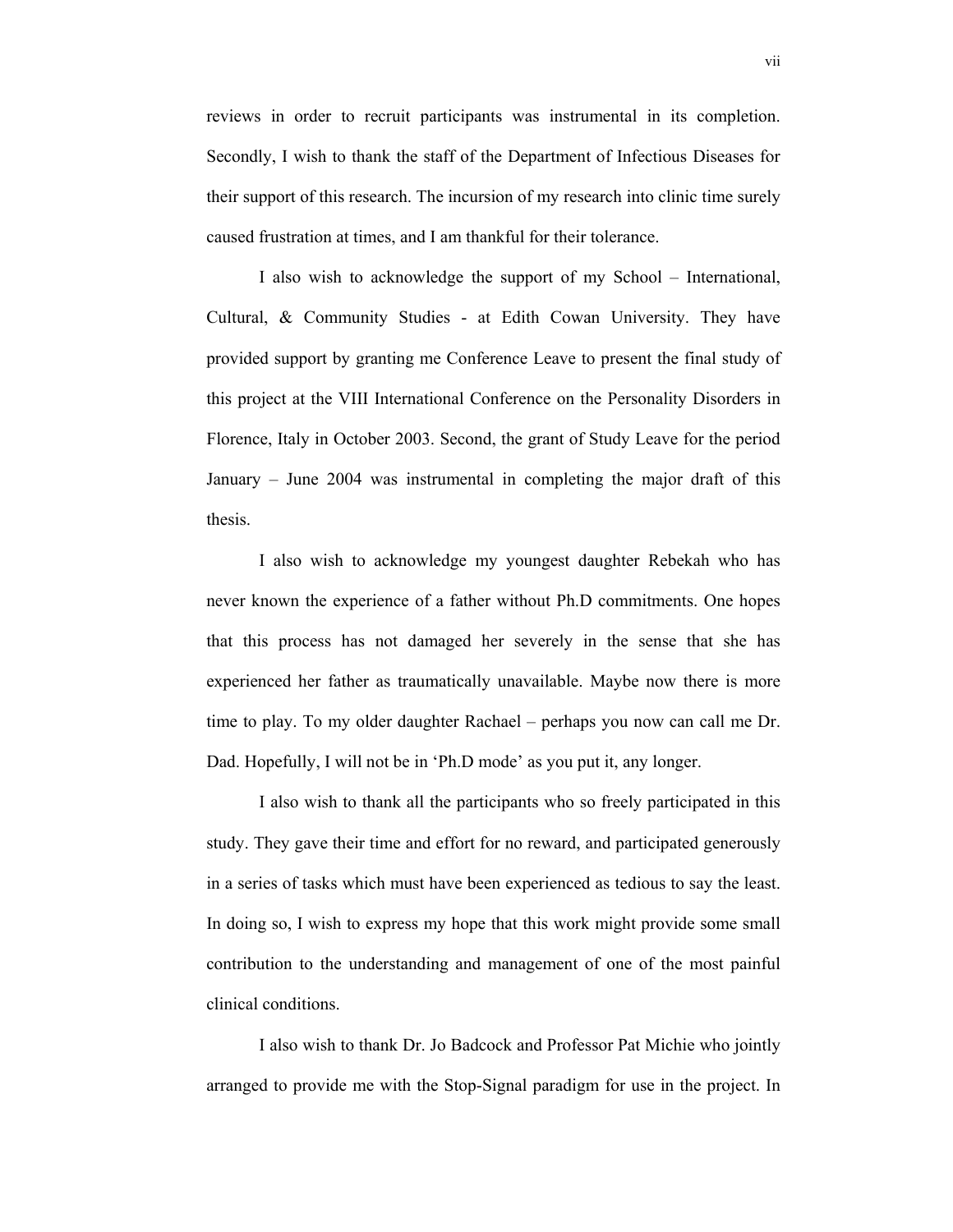reviews in order to recruit participants was instrumental in its completion. Secondly, I wish to thank the staff of the Department of Infectious Diseases for their support of this research. The incursion of my research into clinic time surely caused frustration at times, and I am thankful for their tolerance.

I also wish to acknowledge the support of my School – International, Cultural, & Community Studies - at Edith Cowan University. They have provided support by granting me Conference Leave to present the final study of this project at the VIII International Conference on the Personality Disorders in Florence, Italy in October 2003. Second, the grant of Study Leave for the period January – June 2004 was instrumental in completing the major draft of this thesis.

I also wish to acknowledge my youngest daughter Rebekah who has never known the experience of a father without Ph.D commitments. One hopes that this process has not damaged her severely in the sense that she has experienced her father as traumatically unavailable. Maybe now there is more time to play. To my older daughter Rachael – perhaps you now can call me Dr. Dad. Hopefully, I will not be in 'Ph.D mode' as you put it, any longer.

I also wish to thank all the participants who so freely participated in this study. They gave their time and effort for no reward, and participated generously in a series of tasks which must have been experienced as tedious to say the least. In doing so, I wish to express my hope that this work might provide some small contribution to the understanding and management of one of the most painful clinical conditions.

I also wish to thank Dr. Jo Badcock and Professor Pat Michie who jointly arranged to provide me with the Stop-Signal paradigm for use in the project. In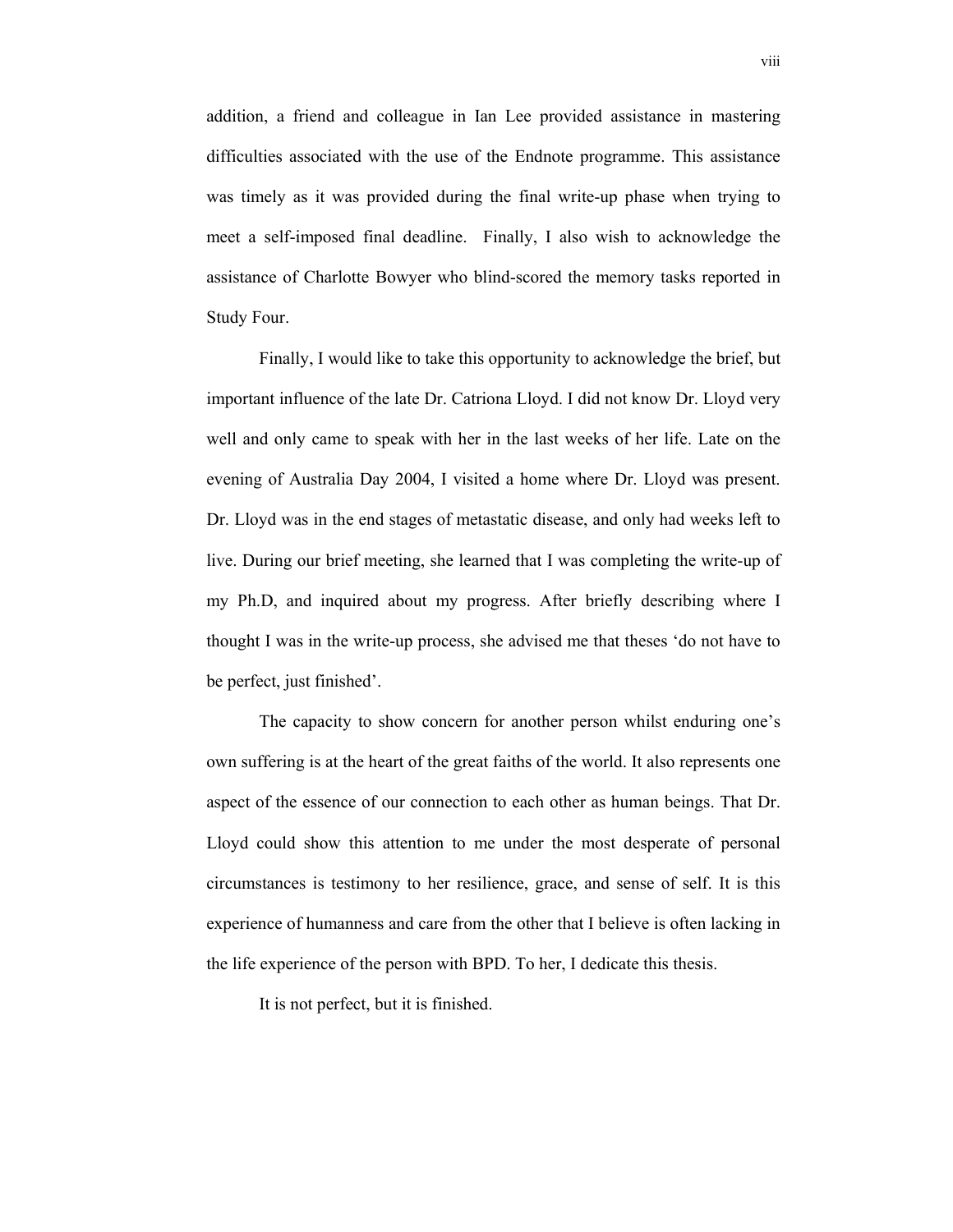addition, a friend and colleague in Ian Lee provided assistance in mastering difficulties associated with the use of the Endnote programme. This assistance was timely as it was provided during the final write-up phase when trying to meet a self-imposed final deadline. Finally, I also wish to acknowledge the assistance of Charlotte Bowyer who blind-scored the memory tasks reported in Study Four.

Finally, I would like to take this opportunity to acknowledge the brief, but important influence of the late Dr. Catriona Lloyd. I did not know Dr. Lloyd very well and only came to speak with her in the last weeks of her life. Late on the evening of Australia Day 2004, I visited a home where Dr. Lloyd was present. Dr. Lloyd was in the end stages of metastatic disease, and only had weeks left to live. During our brief meeting, she learned that I was completing the write-up of my Ph.D, and inquired about my progress. After briefly describing where I thought I was in the write-up process, she advised me that theses 'do not have to be perfect, just finished'.

The capacity to show concern for another person whilst enduring one's own suffering is at the heart of the great faiths of the world. It also represents one aspect of the essence of our connection to each other as human beings. That Dr. Lloyd could show this attention to me under the most desperate of personal circumstances is testimony to her resilience, grace, and sense of self. It is this experience of humanness and care from the other that I believe is often lacking in the life experience of the person with BPD. To her, I dedicate this thesis.

It is not perfect, but it is finished.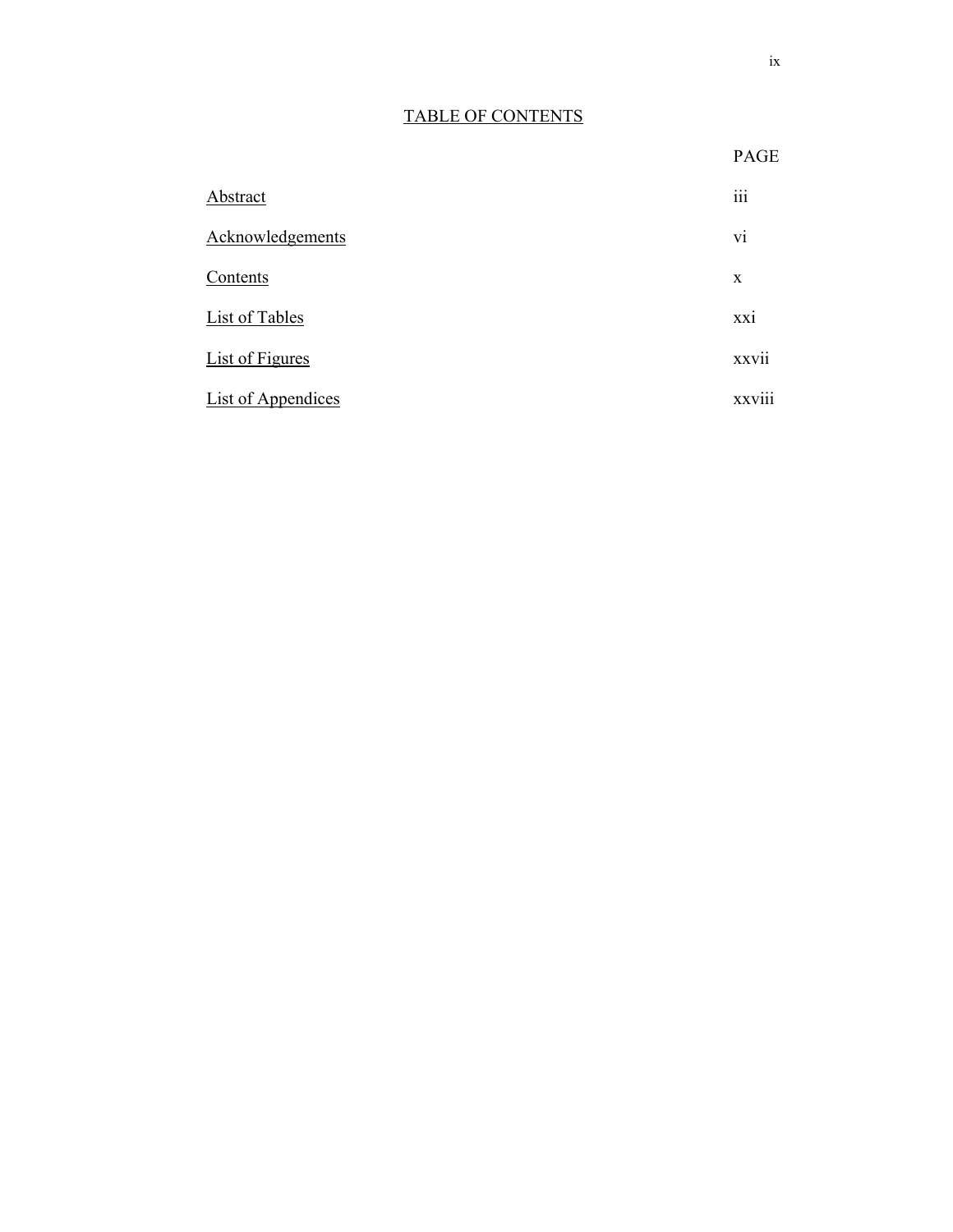# TABLE OF CONTENTS

| Abstract                  | $\cdots$<br>111 |
|---------------------------|-----------------|
| Acknowledgements          | vi              |
| Contents                  | $\mathbf{x}$    |
| List of Tables            | XX1             |
| <b>List of Figures</b>    | . .<br>XXV11    |
| <b>List of Appendices</b> | <b>XXV111</b>   |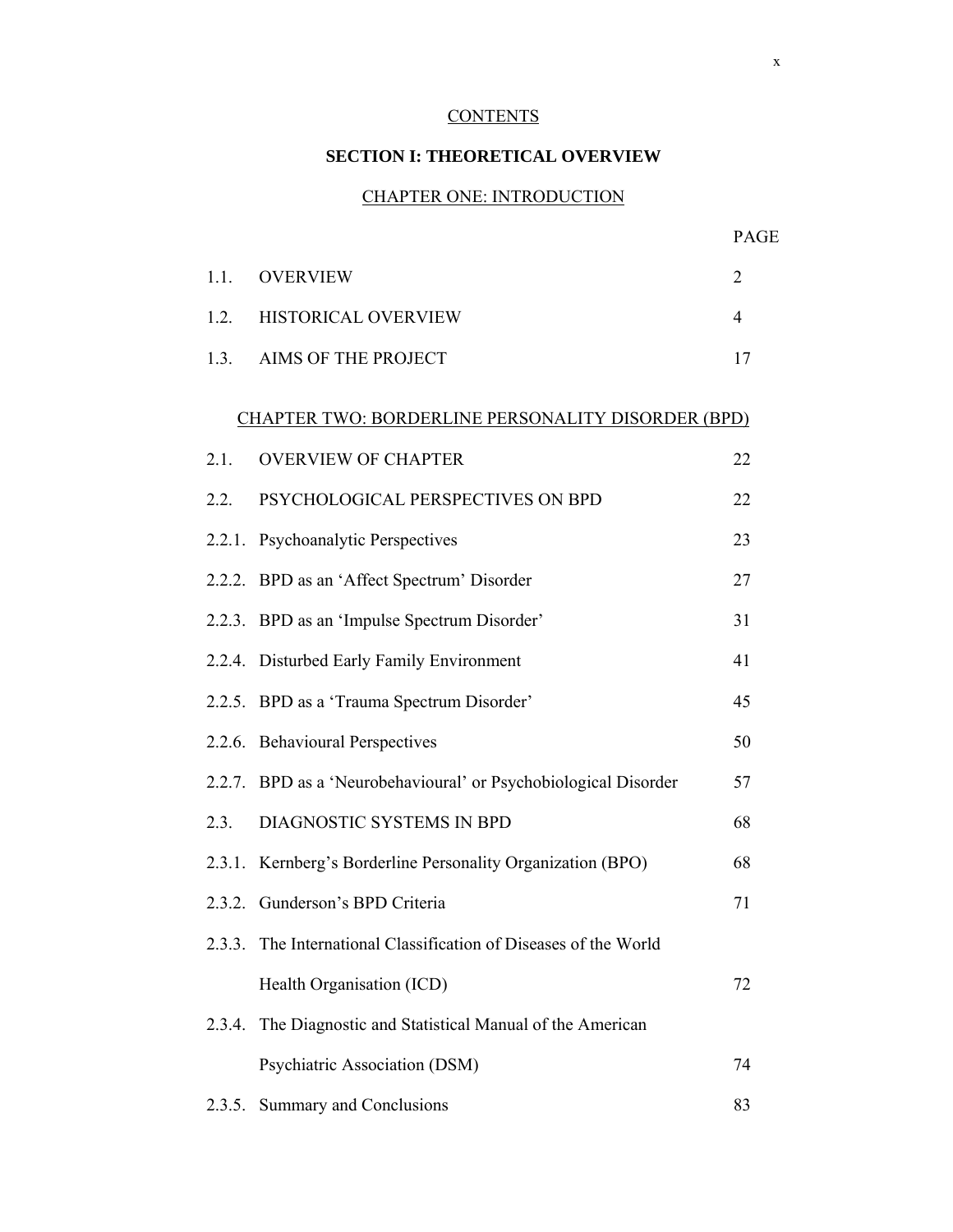## **CONTENTS**

#### **SECTION I: THEORETICAL OVERVIEW**

#### CHAPTER ONE: INTRODUCTION

|        |                                                                  | PAGE           |
|--------|------------------------------------------------------------------|----------------|
| 1.1.   | <b>OVERVIEW</b>                                                  | $\overline{2}$ |
| 1.2.   | HISTORICAL OVERVIEW                                              | $\overline{4}$ |
| 1.3.   | <b>AIMS OF THE PROJECT</b>                                       | 17             |
|        | <b>CHAPTER TWO: BORDERLINE PERSONALITY DISORDER (BPD)</b>        |                |
| 2.1.   | <b>OVERVIEW OF CHAPTER</b>                                       | 22             |
| 2.2.   | PSYCHOLOGICAL PERSPECTIVES ON BPD                                | 22             |
|        | 2.2.1. Psychoanalytic Perspectives                               | 23             |
|        | 2.2.2. BPD as an 'Affect Spectrum' Disorder                      | 27             |
|        | 2.2.3. BPD as an 'Impulse Spectrum Disorder'                     | 31             |
|        | 2.2.4. Disturbed Early Family Environment                        | 41             |
|        | 2.2.5. BPD as a 'Trauma Spectrum Disorder'                       | 45             |
|        | 2.2.6. Behavioural Perspectives                                  | 50             |
|        | 2.2.7. BPD as a 'Neurobehavioural' or Psychobiological Disorder  | 57             |
| 2.3.   | DIAGNOSTIC SYSTEMS IN BPD                                        | 68             |
|        | 2.3.1. Kernberg's Borderline Personality Organization (BPO)      | 68             |
|        | 2.3.2. Gunderson's BPD Criteria                                  | 71             |
|        | 2.3.3. The International Classification of Diseases of the World |                |
|        | Health Organisation (ICD)                                        | 72             |
| 2.3.4. | The Diagnostic and Statistical Manual of the American            |                |
|        | Psychiatric Association (DSM)                                    | 74             |
| 2.3.5. | Summary and Conclusions                                          | 83             |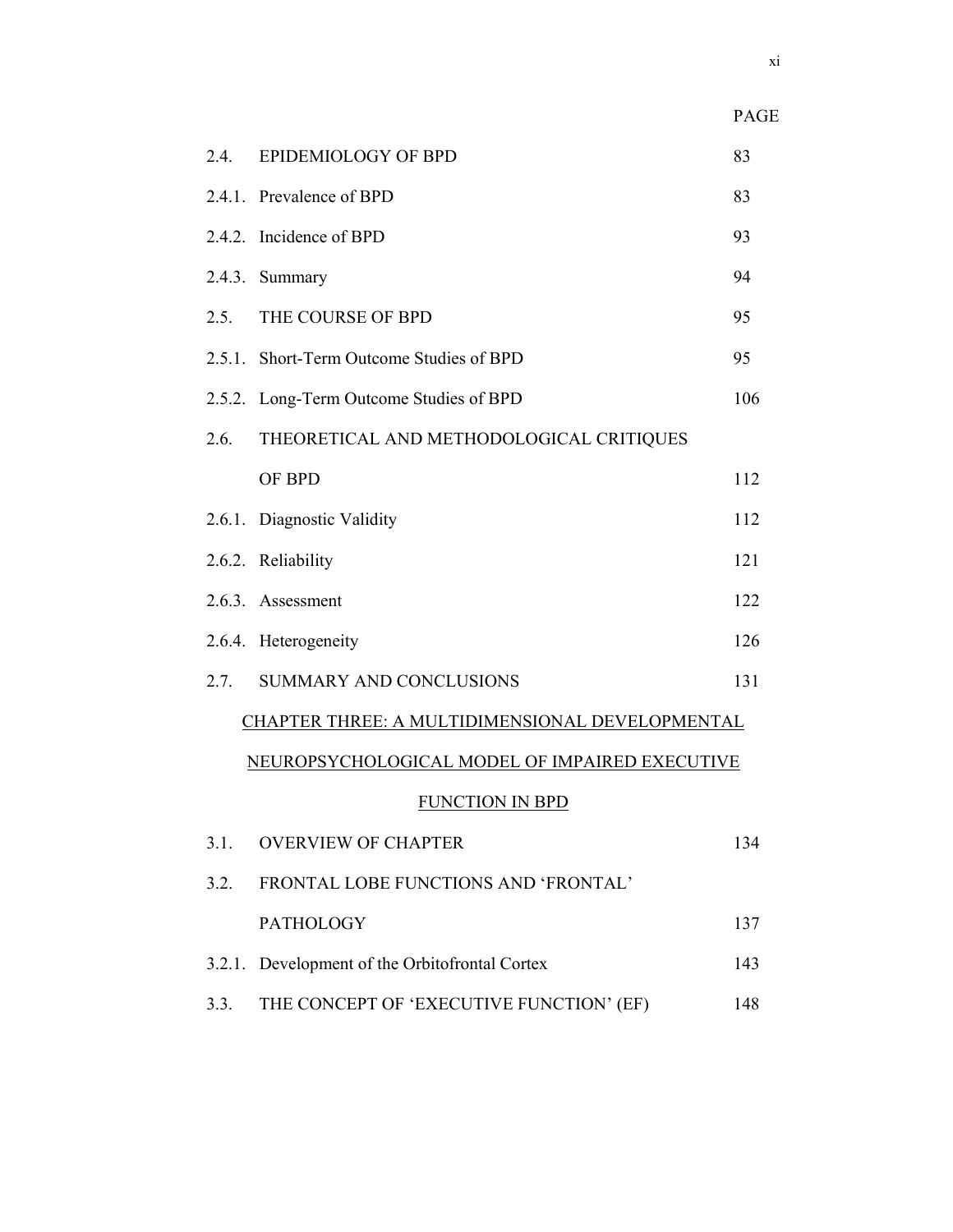|                                                  | I AUL' |  |  |
|--------------------------------------------------|--------|--|--|
| EPIDEMIOLOGY OF BPD<br>2.4.                      | 83     |  |  |
| 2.4.1. Prevalence of BPD                         | 83     |  |  |
| 2.4.2. Incidence of BPD                          | 93     |  |  |
| 2.4.3. Summary                                   | 94     |  |  |
| 2.5.<br>THE COURSE OF BPD                        | 95     |  |  |
| 2.5.1. Short-Term Outcome Studies of BPD         | 95     |  |  |
| 2.5.2. Long-Term Outcome Studies of BPD          | 106    |  |  |
| THEORETICAL AND METHODOLOGICAL CRITIQUES<br>2.6. |        |  |  |
| OF BPD                                           | 112    |  |  |
| 2.6.1. Diagnostic Validity                       | 112    |  |  |
| 2.6.2. Reliability                               | 121    |  |  |
| 2.6.3. Assessment                                | 122    |  |  |
| 2.6.4. Heterogeneity                             | 126    |  |  |
| SUMMARY AND CONCLUSIONS<br>2.7.                  | 131    |  |  |
| CHAPTER THREE: A MULTIDIMENSIONAL DEVELOPMENTAL  |        |  |  |
| NEUROPSYCHOLOGICAL MODEL OF IMPAIRED EXECUTIVE   |        |  |  |
| <b>FUNCTION IN BPD</b>                           |        |  |  |
| 3.1.<br><b>OVERVIEW OF CHAPTER</b>               | 134    |  |  |
| FRONTAL LOBE FUNCTIONS AND 'FRONTAL'<br>3.2.     |        |  |  |
| <b>PATHOLOGY</b>                                 | 137    |  |  |
| 3.2.1. Development of the Orbitofrontal Cortex   | 143    |  |  |
| 3.3.<br>THE CONCEPT OF 'EXECUTIVE FUNCTION' (EF) | 148    |  |  |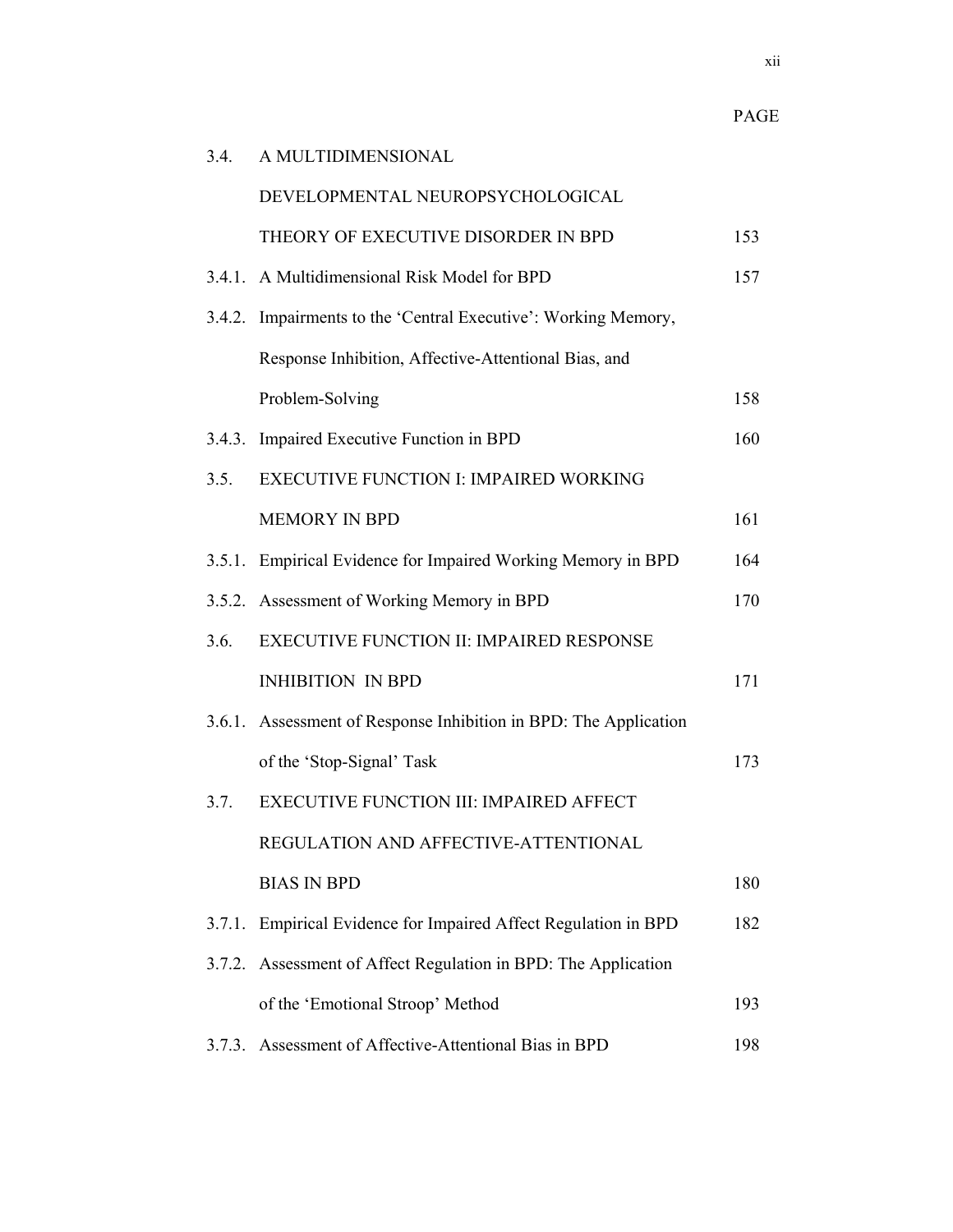xii

| 3.4.   | A MULTIDIMENSIONAL                                               |     |
|--------|------------------------------------------------------------------|-----|
|        | DEVELOPMENTAL NEUROPSYCHOLOGICAL                                 |     |
|        | THEORY OF EXECUTIVE DISORDER IN BPD                              | 153 |
|        | 3.4.1. A Multidimensional Risk Model for BPD                     | 157 |
|        | 3.4.2. Impairments to the 'Central Executive': Working Memory,   |     |
|        | Response Inhibition, Affective-Attentional Bias, and             |     |
|        | Problem-Solving                                                  | 158 |
|        | 3.4.3. Impaired Executive Function in BPD                        | 160 |
| 3.5.   | <b>EXECUTIVE FUNCTION I: IMPAIRED WORKING</b>                    |     |
|        | <b>MEMORY IN BPD</b>                                             | 161 |
| 3.5.1. | Empirical Evidence for Impaired Working Memory in BPD            | 164 |
|        | 3.5.2. Assessment of Working Memory in BPD                       | 170 |
| 3.6.   | <b>EXECUTIVE FUNCTION II: IMPAIRED RESPONSE</b>                  |     |
|        | <b>INHIBITION IN BPD</b>                                         | 171 |
|        | 3.6.1. Assessment of Response Inhibition in BPD: The Application |     |
|        | of the 'Stop-Signal' Task                                        | 173 |
| 3.7.   | EXECUTIVE FUNCTION III: IMPAIRED AFFECT                          |     |
|        | REGULATION AND AFFECTIVE-ATTENTIONAL                             |     |
|        | <b>BIAS IN BPD</b>                                               | 180 |
| 3.7.1. | Empirical Evidence for Impaired Affect Regulation in BPD         | 182 |
| 3.7.2. | Assessment of Affect Regulation in BPD: The Application          |     |
|        | of the 'Emotional Stroop' Method                                 | 193 |
|        | 3.7.3. Assessment of Affective-Attentional Bias in BPD           | 198 |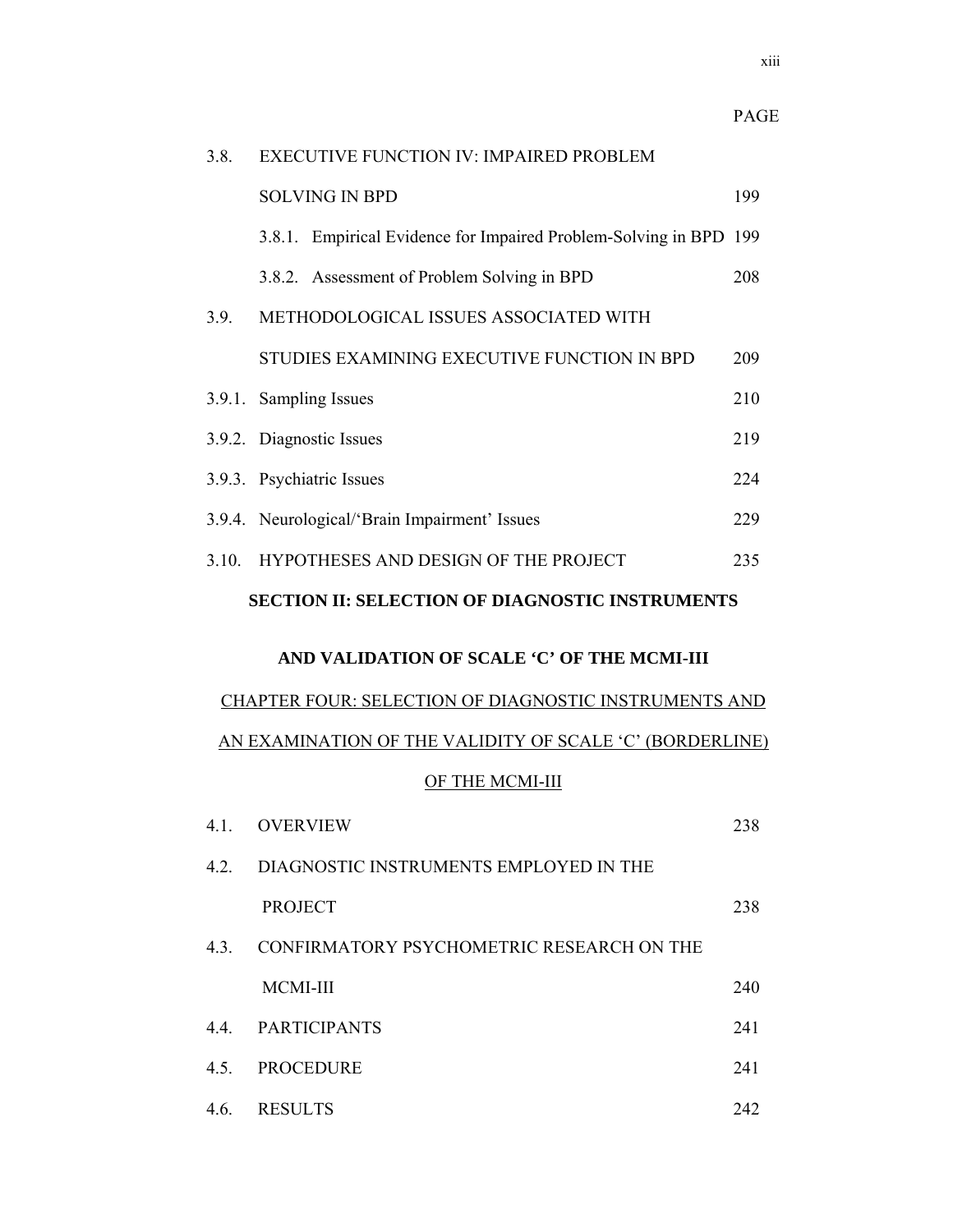#### 3.8. EXECUTIVE FUNCTION IV: IMPAIRED PROBLEM

|       | <b>SOLVING IN BPD</b>                                             | 199 |
|-------|-------------------------------------------------------------------|-----|
|       | 3.8.1. Empirical Evidence for Impaired Problem-Solving in BPD 199 |     |
|       | 3.8.2. Assessment of Problem Solving in BPD                       | 208 |
| 3.9.  | METHODOLOGICAL ISSUES ASSOCIATED WITH                             |     |
|       | STUDIES EXAMINING EXECUTIVE FUNCTION IN BPD                       | 209 |
|       | 3.9.1. Sampling Issues                                            | 210 |
|       | 219<br>3.9.2. Diagnostic Issues                                   |     |
|       | 3.9.3. Psychiatric Issues                                         | 224 |
|       | 3.9.4. Neurological/'Brain Impairment' Issues                     | 229 |
| 3.10. | HYPOTHESES AND DESIGN OF THE PROJECT                              | 235 |
|       | <b>SECTION II: SELECTION OF DIAGNOSTIC INSTRUMENTS</b>            |     |

#### **AND VALIDATION OF SCALE 'C' OF THE MCMI-III**

# CHAPTER FOUR: SELECTION OF DIAGNOSTIC INSTRUMENTS AND AN EXAMINATION OF THE VALIDITY OF SCALE 'C' (BORDERLINE) OF THE MCMI-III

| 4.1. | <b>OVERVIEW</b>                           | 238 |
|------|-------------------------------------------|-----|
| 4.2. | DIAGNOSTIC INSTRUMENTS EMPLOYED IN THE    |     |
|      | <b>PROJECT</b>                            | 238 |
| 4.3. | CONFIRMATORY PSYCHOMETRIC RESEARCH ON THE |     |
|      | <b>MCMI-III</b>                           | 240 |
|      | 4.4. PARTICIPANTS                         | 241 |
| 4.5. | <b>PROCEDURE</b>                          | 241 |
| 4.6. | <b>RESULTS</b>                            | 242 |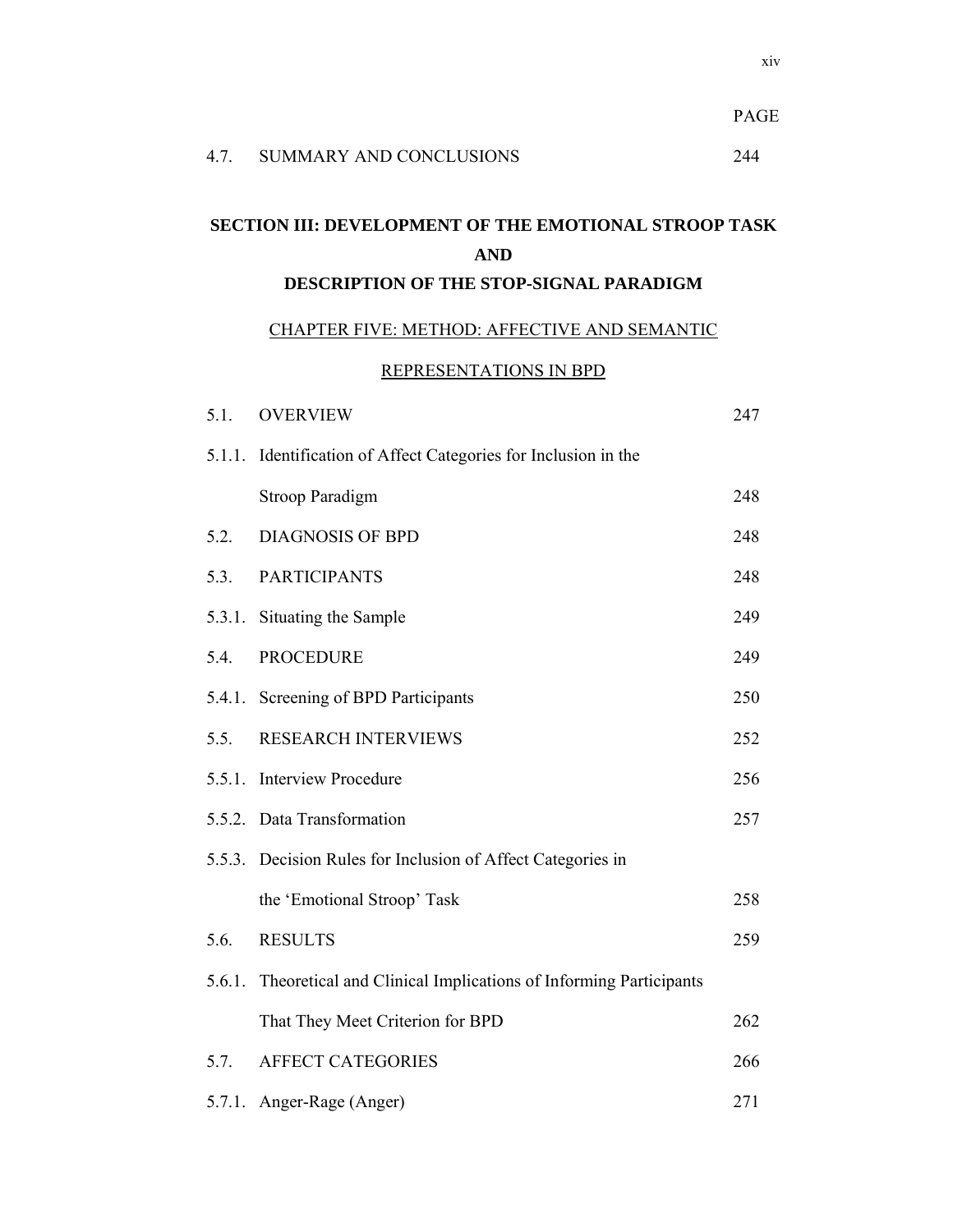|        |                                                                                                                       | <b>PAGE</b> |
|--------|-----------------------------------------------------------------------------------------------------------------------|-------------|
| 4.7.   | <b>SUMMARY AND CONCLUSIONS</b>                                                                                        | 244         |
|        | <b>SECTION III: DEVELOPMENT OF THE EMOTIONAL STROOP TASK</b><br><b>AND</b><br>DESCRIPTION OF THE STOP-SIGNAL PARADIGM |             |
|        | CHAPTER FIVE: METHOD: AFFECTIVE AND SEMANTIC                                                                          |             |
|        | REPRESENTATIONS IN BPD                                                                                                |             |
| 5.1.   | <b>OVERVIEW</b>                                                                                                       | 247         |
|        | 5.1.1. Identification of Affect Categories for Inclusion in the                                                       |             |
|        | <b>Stroop Paradigm</b>                                                                                                | 248         |
| 5.2.   | <b>DIAGNOSIS OF BPD</b>                                                                                               | 248         |
| 5.3.   | <b>PARTICIPANTS</b>                                                                                                   | 248         |
|        | 5.3.1. Situating the Sample                                                                                           | 249         |
| 5.4    | <b>PROCEDURE</b>                                                                                                      | 249         |
| 5.4.1. | Screening of BPD Participants                                                                                         | 250         |
| 5.5.   | <b>RESEARCH INTERVIEWS</b>                                                                                            | 252         |
|        | 5.5.1. Interview Procedure                                                                                            | 256         |
|        | 5.5.2. Data Transformation                                                                                            | 257         |
|        | 5.5.3. Decision Rules for Inclusion of Affect Categories in                                                           |             |
|        | the 'Emotional Stroop' Task                                                                                           | 258         |
| 5.6.   | <b>RESULTS</b>                                                                                                        | 259         |
|        | 5.6.1. Theoretical and Clinical Implications of Informing Participants                                                |             |
|        | That They Meet Criterion for BPD                                                                                      | 262         |
| 5.7.   | <b>AFFECT CATEGORIES</b>                                                                                              | 266         |
|        | 5.7.1. Anger-Rage (Anger)                                                                                             | 271         |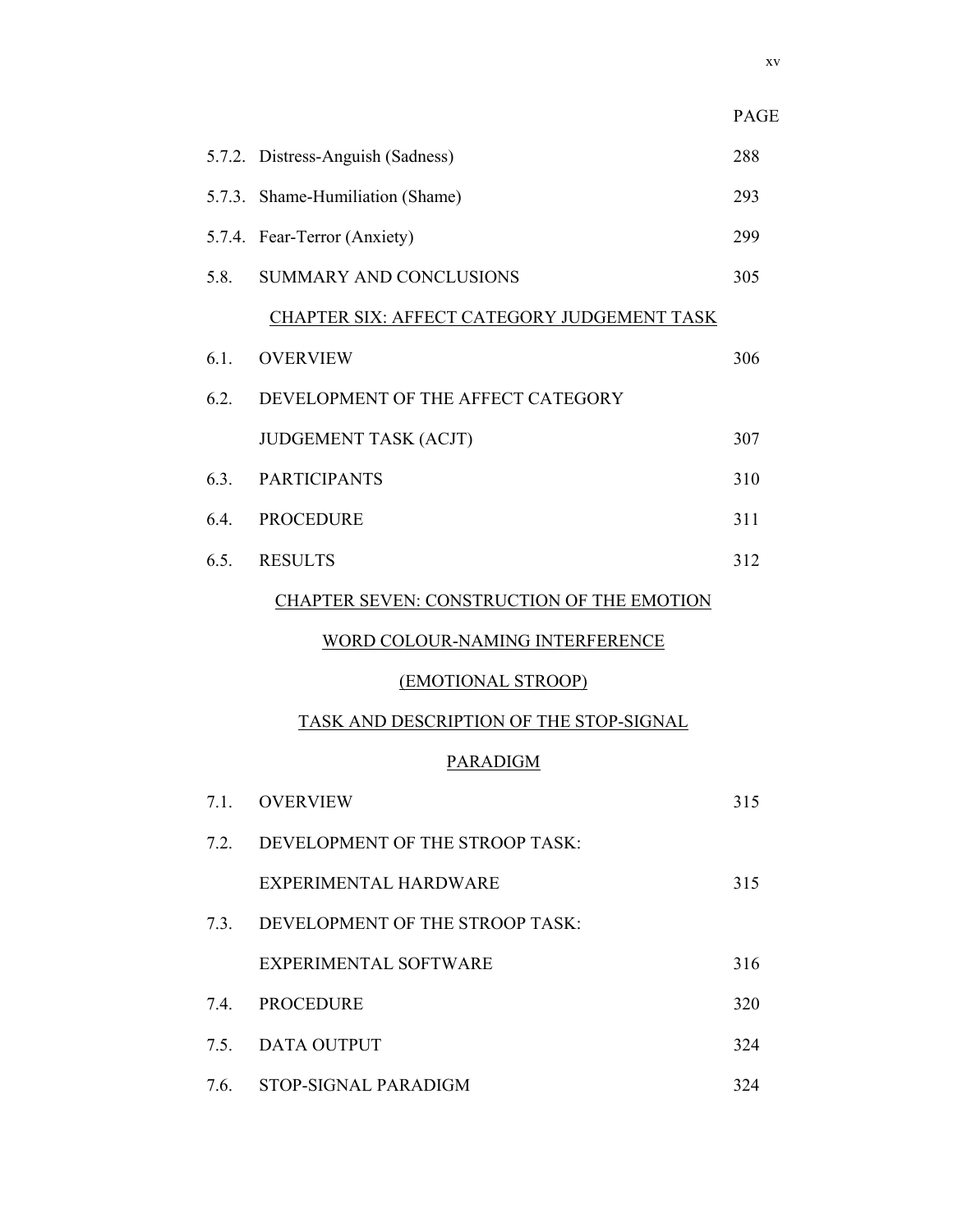|      |                                                    | PAGE |
|------|----------------------------------------------------|------|
|      | 5.7.2. Distress-Anguish (Sadness)                  | 288  |
|      | 5.7.3. Shame-Humiliation (Shame)                   | 293  |
|      | 5.7.4. Fear-Terror (Anxiety)                       | 299  |
| 5.8. | <b>SUMMARY AND CONCLUSIONS</b>                     | 305  |
|      | <b>CHAPTER SIX: AFFECT CATEGORY JUDGEMENT TASK</b> |      |
| 6.1. | <b>OVERVIEW</b>                                    | 306  |
| 6.2. | DEVELOPMENT OF THE AFFECT CATEGORY                 |      |
|      | <b>JUDGEMENT TASK (ACJT)</b>                       | 307  |
| 6.3. | <b>PARTICIPANTS</b>                                | 310  |
| 6.4. | <b>PROCEDURE</b>                                   | 311  |
| 6.5. | <b>RESULTS</b>                                     | 312  |
|      | CHAPTER SEVEN: CONSTRUCTION OF THE EMOTION         |      |
|      | WORD COLOUR-NAMING INTERFERENCE                    |      |
|      | (EMOTIONAL STROOP)                                 |      |
|      | <b>TASK AND DESCRIPTION OF THE STOP-SIGNAL</b>     |      |
|      | <b>PARADIGM</b>                                    |      |
| 7.1. | <b>OVERVIEW</b>                                    | 315  |
| 7.2. | DEVELOPMENT OF THE STROOP TASK:                    |      |
|      | EXPERIMENTAL HARDWARE                              | 315  |
| 7.3. | DEVELOPMENT OF THE STROOP TASK:                    |      |
|      | <b>EXPERIMENTAL SOFTWARE</b>                       | 316  |
| 7.4. | <b>PROCEDURE</b>                                   | 320  |
| 7.5. | <b>DATA OUTPUT</b>                                 | 324  |
| 7.6. | STOP-SIGNAL PARADIGM                               | 324  |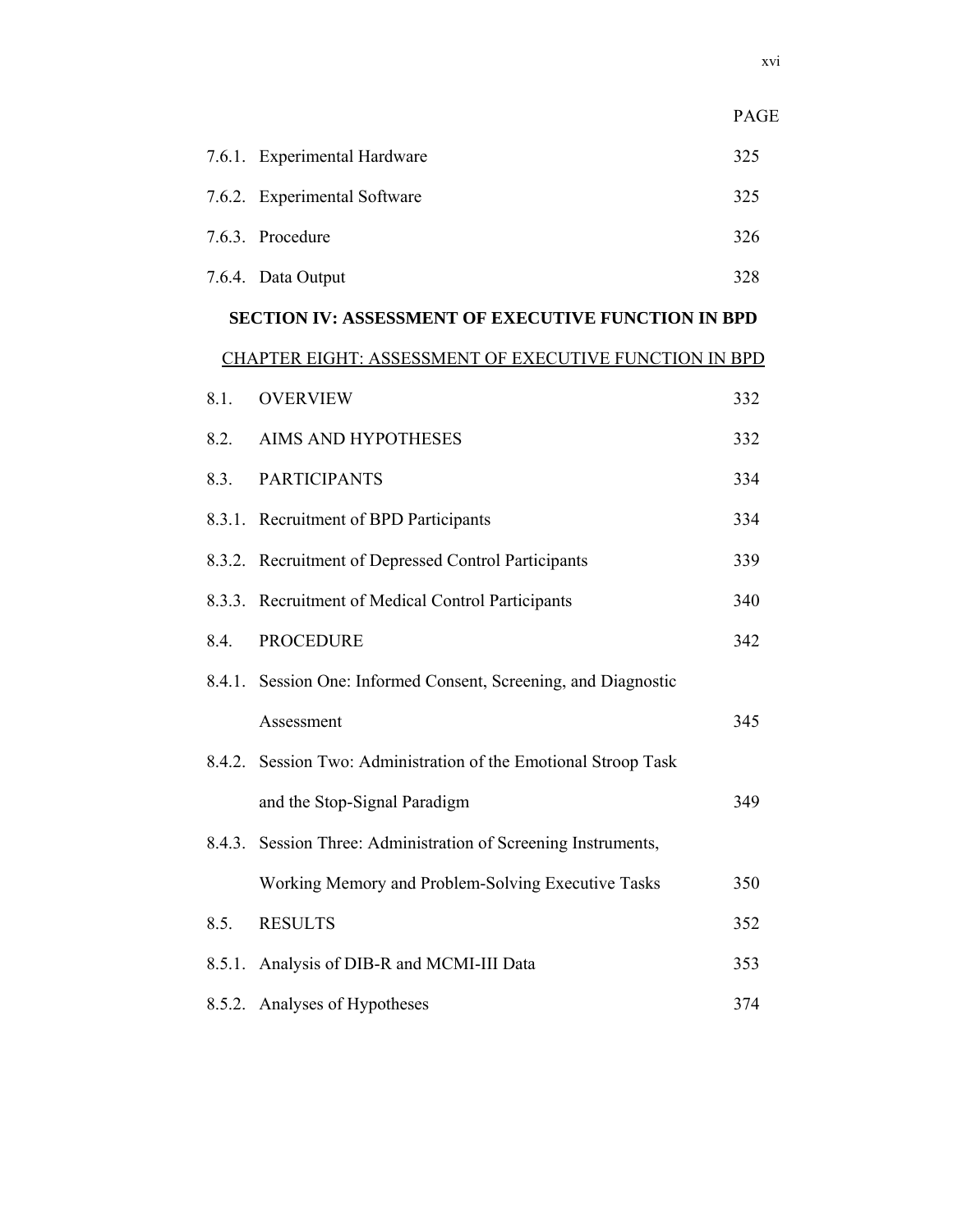|        |                                                                 | PAGE |
|--------|-----------------------------------------------------------------|------|
|        | 7.6.1. Experimental Hardware                                    | 325  |
|        | 7.6.2. Experimental Software                                    | 325  |
|        | 7.6.3. Procedure                                                | 326  |
|        | 7.6.4. Data Output                                              | 328  |
|        | <b>SECTION IV: ASSESSMENT OF EXECUTIVE FUNCTION IN BPD</b>      |      |
|        | <b>CHAPTER EIGHT: ASSESSMENT OF EXECUTIVE FUNCTION IN BPD</b>   |      |
| 8.1.   | <b>OVERVIEW</b>                                                 | 332  |
| 8.2.   | AIMS AND HYPOTHESES                                             | 332  |
| 8.3.   | <b>PARTICIPANTS</b>                                             | 334  |
|        | 8.3.1. Recruitment of BPD Participants                          | 334  |
|        | 8.3.2. Recruitment of Depressed Control Participants            | 339  |
|        | 8.3.3. Recruitment of Medical Control Participants              | 340  |
| 8.4.   | <b>PROCEDURE</b>                                                | 342  |
|        | 8.4.1. Session One: Informed Consent, Screening, and Diagnostic |      |
|        | Assessment                                                      | 345  |
|        | 8.4.2. Session Two: Administration of the Emotional Stroop Task |      |
|        | and the Stop-Signal Paradigm                                    | 349  |
| 8.4.3. | Session Three: Administration of Screening Instruments,         |      |
|        | Working Memory and Problem-Solving Executive Tasks              | 350  |
| 8.5.   | <b>RESULTS</b>                                                  | 352  |
| 8.5.1. | Analysis of DIB-R and MCMI-III Data                             | 353  |
| 8.5.2. | Analyses of Hypotheses                                          | 374  |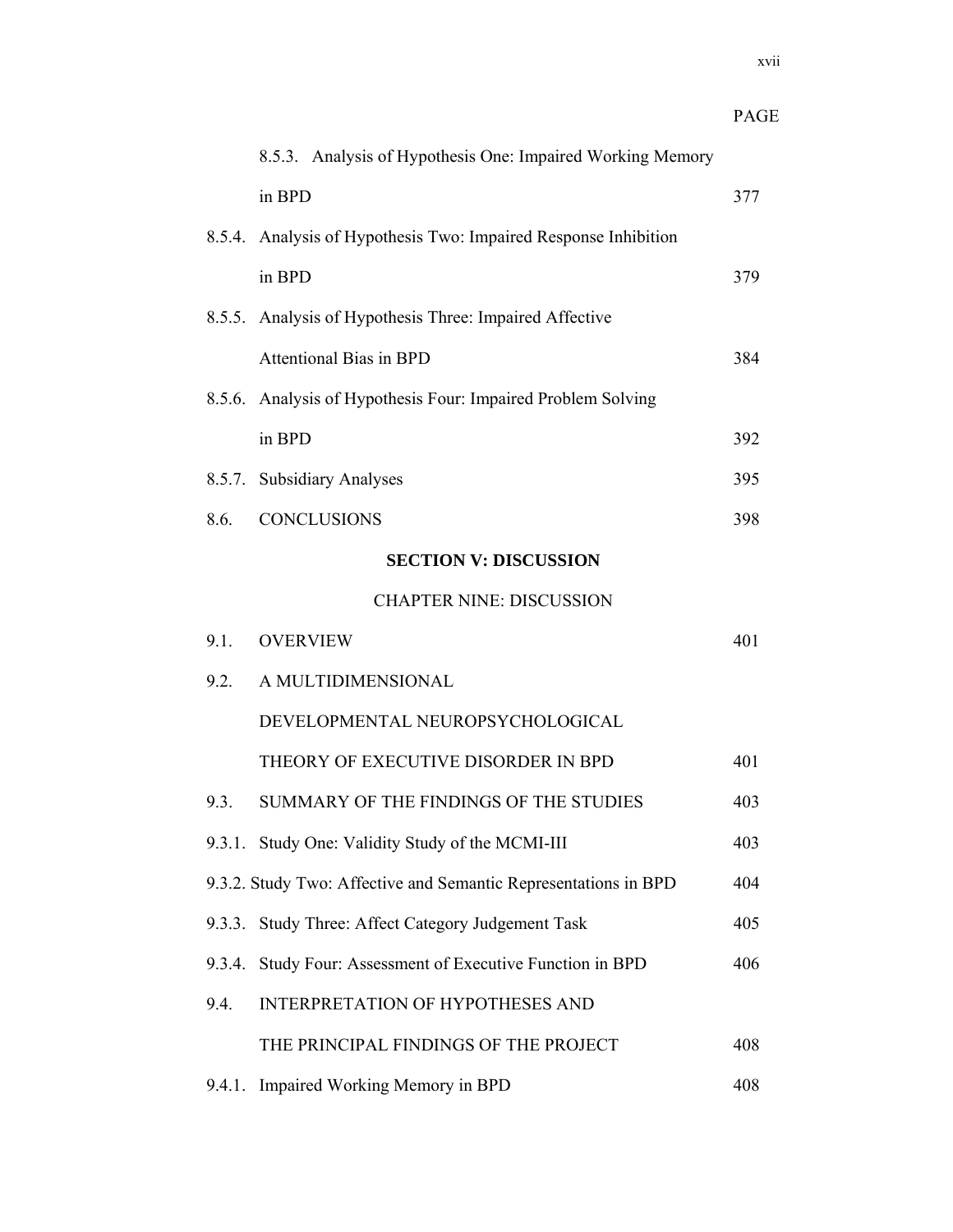|        |                                                                 | <b>PAGE</b> |
|--------|-----------------------------------------------------------------|-------------|
|        | 8.5.3. Analysis of Hypothesis One: Impaired Working Memory      |             |
|        | in BPD                                                          | 377         |
|        | 8.5.4. Analysis of Hypothesis Two: Impaired Response Inhibition |             |
|        | in BPD                                                          | 379         |
|        | 8.5.5. Analysis of Hypothesis Three: Impaired Affective         |             |
|        | <b>Attentional Bias in BPD</b>                                  | 384         |
|        | 8.5.6. Analysis of Hypothesis Four: Impaired Problem Solving    |             |
|        | in BPD                                                          | 392         |
|        | 8.5.7. Subsidiary Analyses                                      | 395         |
| 8.6.   | <b>CONCLUSIONS</b>                                              | 398         |
|        | <b>SECTION V: DISCUSSION</b>                                    |             |
|        | <b>CHAPTER NINE: DISCUSSION</b>                                 |             |
| 9.1.   | <b>OVERVIEW</b>                                                 | 401         |
| 9.2.   | A MULTIDIMENSIONAL                                              |             |
|        | DEVELOPMENTAL NEUROPSYCHOLOGICAL                                |             |
|        | THEORY OF EXECUTIVE DISORDER IN BPD                             | 401         |
| 9.3.   | SUMMARY OF THE FINDINGS OF THE STUDIES                          | 403         |
|        | 9.3.1. Study One: Validity Study of the MCMI-III                | 403         |
|        | 9.3.2. Study Two: Affective and Semantic Representations in BPD | 404         |
| 9.3.3. | Study Three: Affect Category Judgement Task                     | 405         |
|        | 9.3.4. Study Four: Assessment of Executive Function in BPD      | 406         |
| 9.4.   | <b>INTERPRETATION OF HYPOTHESES AND</b>                         |             |
|        | THE PRINCIPAL FINDINGS OF THE PROJECT                           | 408         |
|        | 9.4.1. Impaired Working Memory in BPD                           | 408         |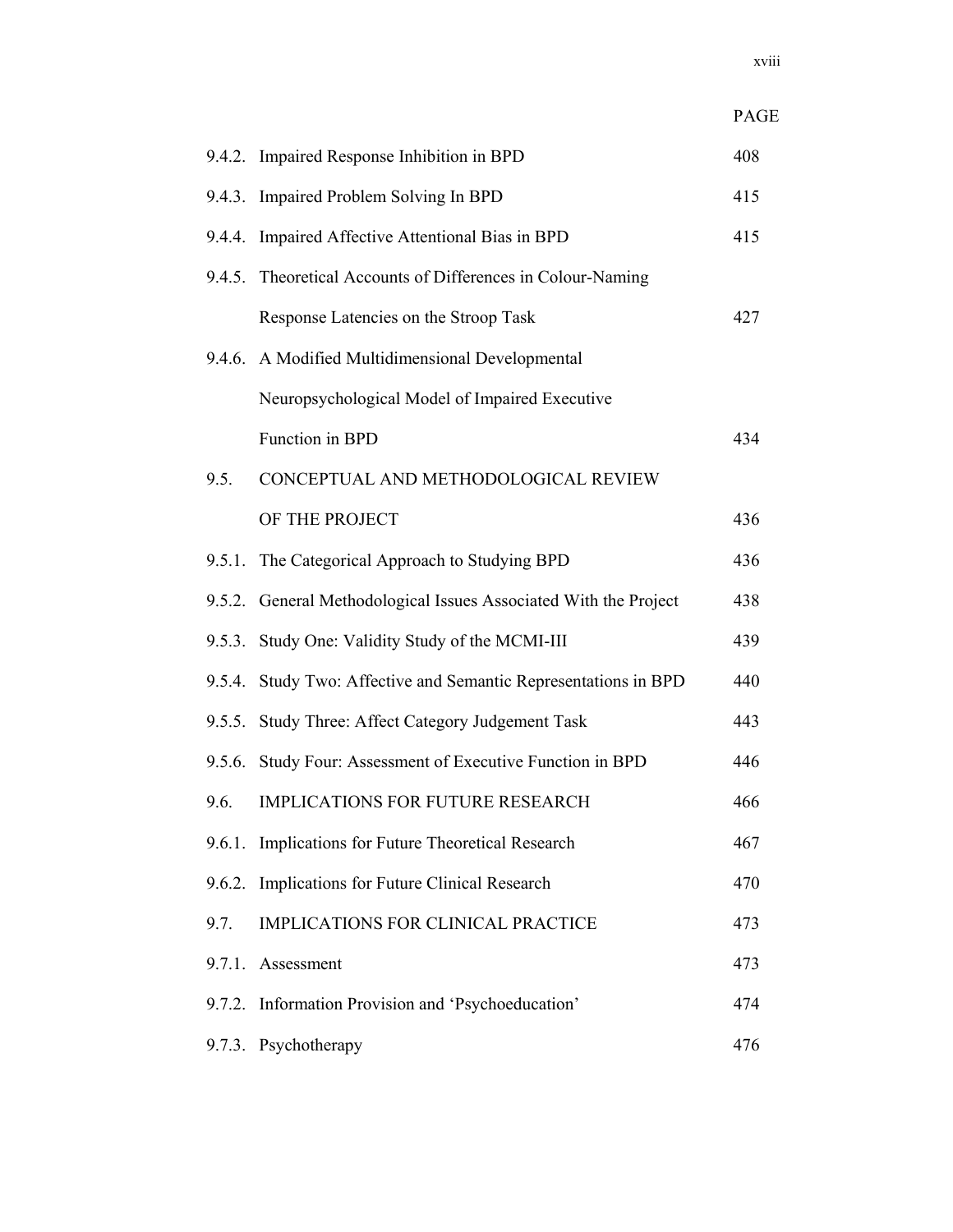|        |                                                                  | PAGE |
|--------|------------------------------------------------------------------|------|
|        | 9.4.2. Impaired Response Inhibition in BPD                       | 408  |
|        | 9.4.3. Impaired Problem Solving In BPD                           | 415  |
| 9.4.4. | Impaired Affective Attentional Bias in BPD                       | 415  |
|        | 9.4.5. Theoretical Accounts of Differences in Colour-Naming      |      |
|        | Response Latencies on the Stroop Task                            | 427  |
|        | 9.4.6. A Modified Multidimensional Developmental                 |      |
|        | Neuropsychological Model of Impaired Executive                   |      |
|        | Function in BPD                                                  | 434  |
| 9.5.   | CONCEPTUAL AND METHODOLOGICAL REVIEW                             |      |
|        | OF THE PROJECT                                                   | 436  |
| 9.5.1. | The Categorical Approach to Studying BPD                         | 436  |
|        | 9.5.2. General Methodological Issues Associated With the Project | 438  |
| 9.5.3. | Study One: Validity Study of the MCMI-III                        | 439  |
|        | 9.5.4. Study Two: Affective and Semantic Representations in BPD  | 440  |
|        | 9.5.5. Study Three: Affect Category Judgement Task               | 443  |
|        | 9.5.6. Study Four: Assessment of Executive Function in BPD       | 446  |
|        | 9.6. IMPLICATIONS FOR FUTURE RESEARCH                            | 466  |
| 9.6.1. | Implications for Future Theoretical Research                     | 467  |
| 9.6.2. | Implications for Future Clinical Research                        | 470  |
| 9.7.   | IMPLICATIONS FOR CLINICAL PRACTICE                               | 473  |
|        | 9.7.1. Assessment                                                | 473  |
|        | 9.7.2. Information Provision and 'Psychoeducation'               | 474  |
|        | 9.7.3. Psychotherapy                                             | 476  |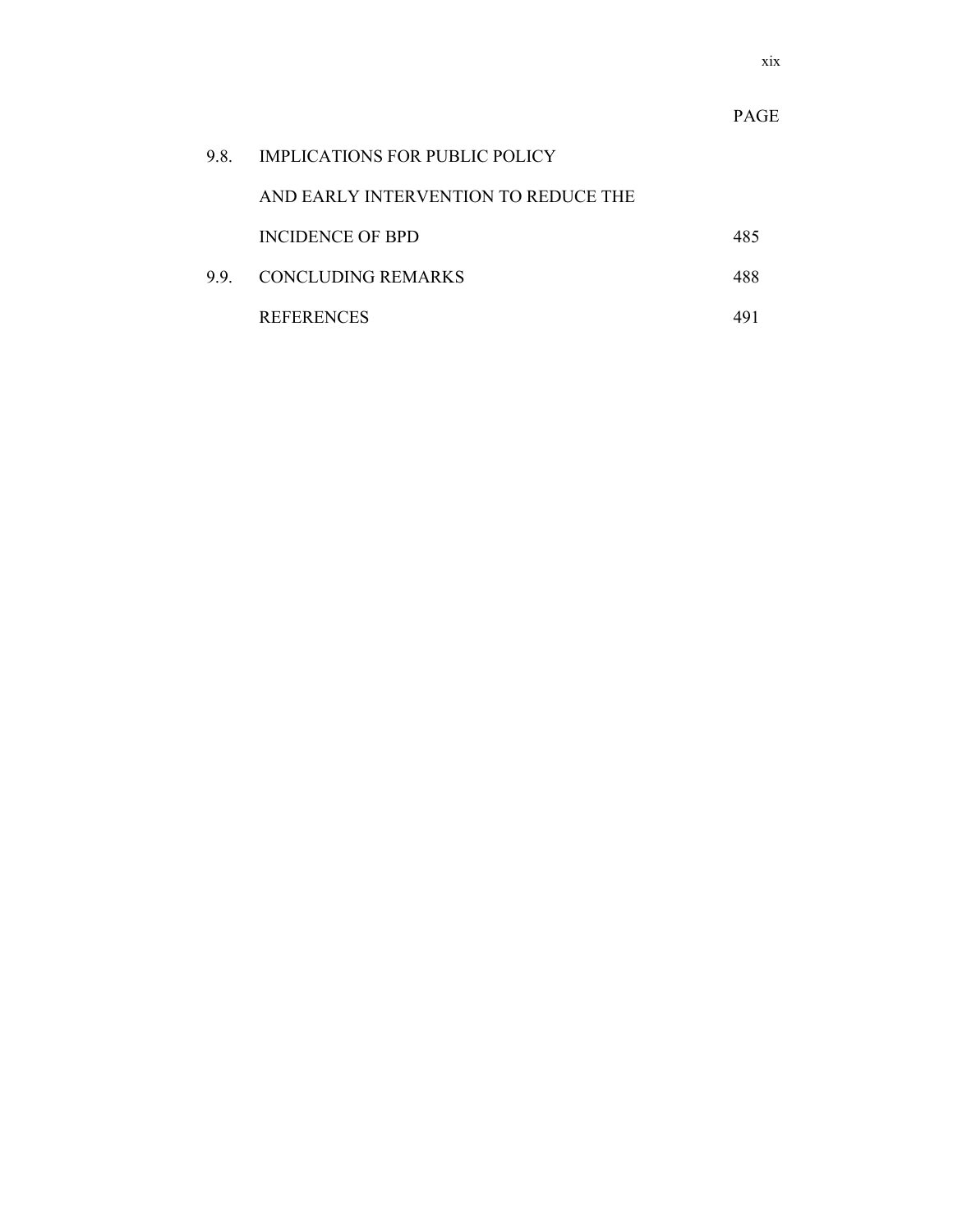| 98 | <b>IMPLICATIONS FOR PUBLIC POLICY</b> |     |
|----|---------------------------------------|-----|
|    | AND EARLY INTERVENTION TO REDUCE THE  |     |
|    | INCIDENCE OF BPD                      | 485 |
|    | 9.9 CONCLUDING REMARKS                | 488 |
|    | <b>REFERENCES</b>                     |     |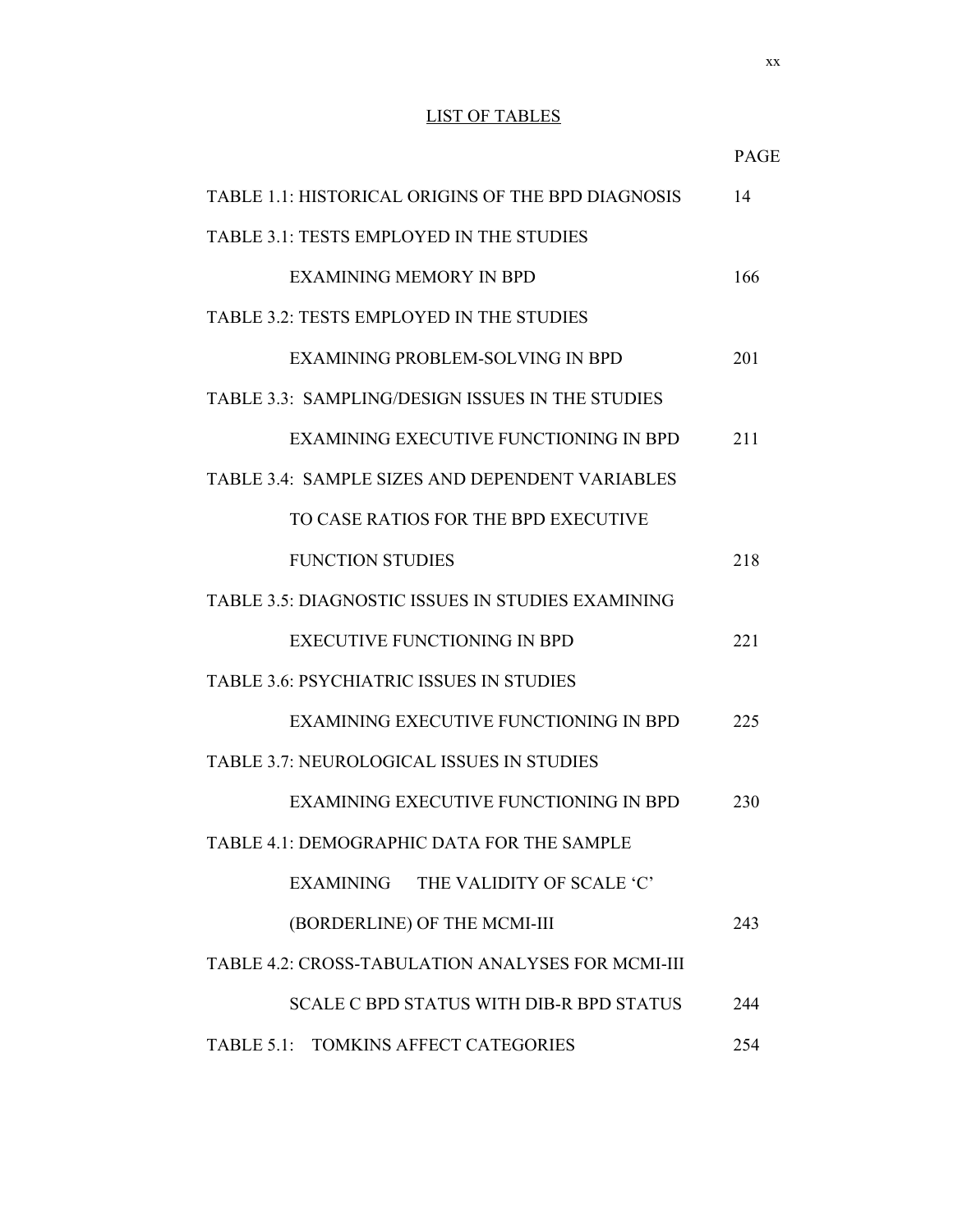## LIST OF TABLES

| TABLE 1.1: HISTORICAL ORIGINS OF THE BPD DIAGNOSIS       | 14  |  |
|----------------------------------------------------------|-----|--|
| TABLE 3.1: TESTS EMPLOYED IN THE STUDIES                 |     |  |
| EXAMINING MEMORY IN BPD                                  | 166 |  |
| TABLE 3.2: TESTS EMPLOYED IN THE STUDIES                 |     |  |
| EXAMINING PROBLEM-SOLVING IN BPD                         | 201 |  |
| <b>TABLE 3.3: SAMPLING/DESIGN ISSUES IN THE STUDIES</b>  |     |  |
| EXAMINING EXECUTIVE FUNCTIONING IN BPD                   | 211 |  |
| TABLE 3.4: SAMPLE SIZES AND DEPENDENT VARIABLES          |     |  |
| TO CASE RATIOS FOR THE BPD EXECUTIVE                     |     |  |
| <b>FUNCTION STUDIES</b>                                  | 218 |  |
| <b>TABLE 3.5: DIAGNOSTIC ISSUES IN STUDIES EXAMINING</b> |     |  |
| <b>EXECUTIVE FUNCTIONING IN BPD</b>                      | 221 |  |
| <b>TABLE 3.6: PSYCHIATRIC ISSUES IN STUDIES</b>          |     |  |
| EXAMINING EXECUTIVE FUNCTIONING IN BPD                   | 225 |  |
| <b>TABLE 3.7: NEUROLOGICAL ISSUES IN STUDIES</b>         |     |  |
| EXAMINING EXECUTIVE FUNCTIONING IN BPD                   | 230 |  |
| TABLE 4.1: DEMOGRAPHIC DATA FOR THE SAMPLE               |     |  |
| EXAMINING<br>THE VALIDITY OF SCALE 'C'                   |     |  |
| (BORDERLINE) OF THE MCMI-III                             | 243 |  |
| TABLE 4.2: CROSS-TABULATION ANALYSES FOR MCMI-III        |     |  |
| <b>SCALE C BPD STATUS WITH DIB-R BPD STATUS</b>          | 244 |  |
| TABLE 5.1: TOMKINS AFFECT CATEGORIES                     | 254 |  |

PAGE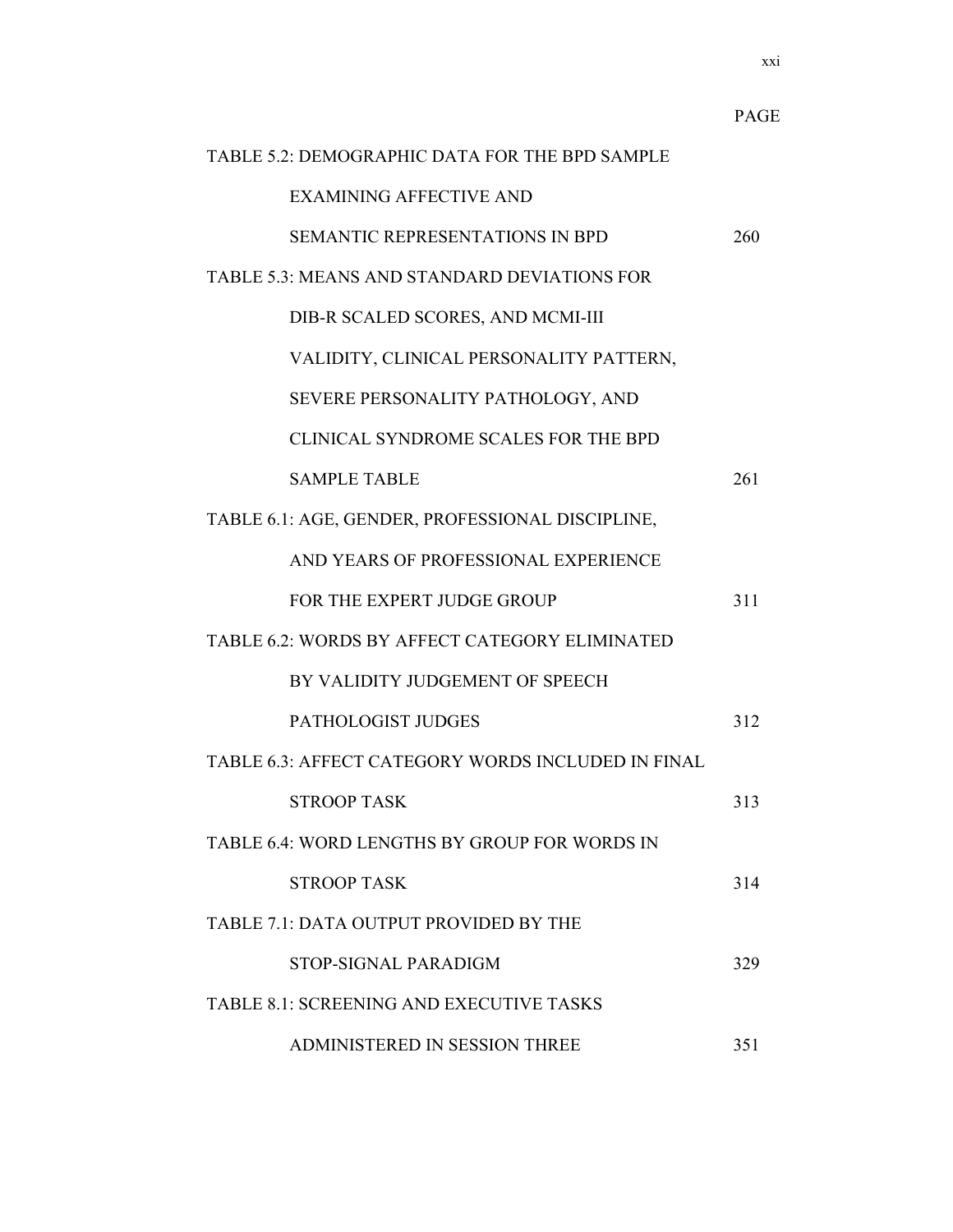|                                                    | <b>PAGE</b> |  |  |
|----------------------------------------------------|-------------|--|--|
| TABLE 5.2: DEMOGRAPHIC DATA FOR THE BPD SAMPLE     |             |  |  |
| <b>EXAMINING AFFECTIVE AND</b>                     |             |  |  |
| <b>SEMANTIC REPRESENTATIONS IN BPD</b>             | 260         |  |  |
| TABLE 5.3: MEANS AND STANDARD DEVIATIONS FOR       |             |  |  |
| DIB-R SCALED SCORES, AND MCMI-III                  |             |  |  |
| VALIDITY, CLINICAL PERSONALITY PATTERN,            |             |  |  |
| SEVERE PERSONALITY PATHOLOGY, AND                  |             |  |  |
| CLINICAL SYNDROME SCALES FOR THE BPD               |             |  |  |
| <b>SAMPLE TABLE</b>                                | 261         |  |  |
| TABLE 6.1: AGE, GENDER, PROFESSIONAL DISCIPLINE,   |             |  |  |
| AND YEARS OF PROFESSIONAL EXPERIENCE               |             |  |  |
| FOR THE EXPERT JUDGE GROUP                         | 311         |  |  |
| TABLE 6.2: WORDS BY AFFECT CATEGORY ELIMINATED     |             |  |  |
| BY VALIDITY JUDGEMENT OF SPEECH                    |             |  |  |
| PATHOLOGIST JUDGES                                 | 312         |  |  |
| TABLE 6.3: AFFECT CATEGORY WORDS INCLUDED IN FINAL |             |  |  |
| <b>STROOP TASK</b>                                 | 313         |  |  |
| TABLE 6.4: WORD LENGTHS BY GROUP FOR WORDS IN      |             |  |  |
| <b>STROOP TASK</b>                                 | 314         |  |  |
| TABLE 7.1: DATA OUTPUT PROVIDED BY THE             |             |  |  |
| STOP-SIGNAL PARADIGM                               | 329         |  |  |
| <b>TABLE 8.1: SCREENING AND EXECUTIVE TASKS</b>    |             |  |  |
| ADMINISTERED IN SESSION THREE                      | 351         |  |  |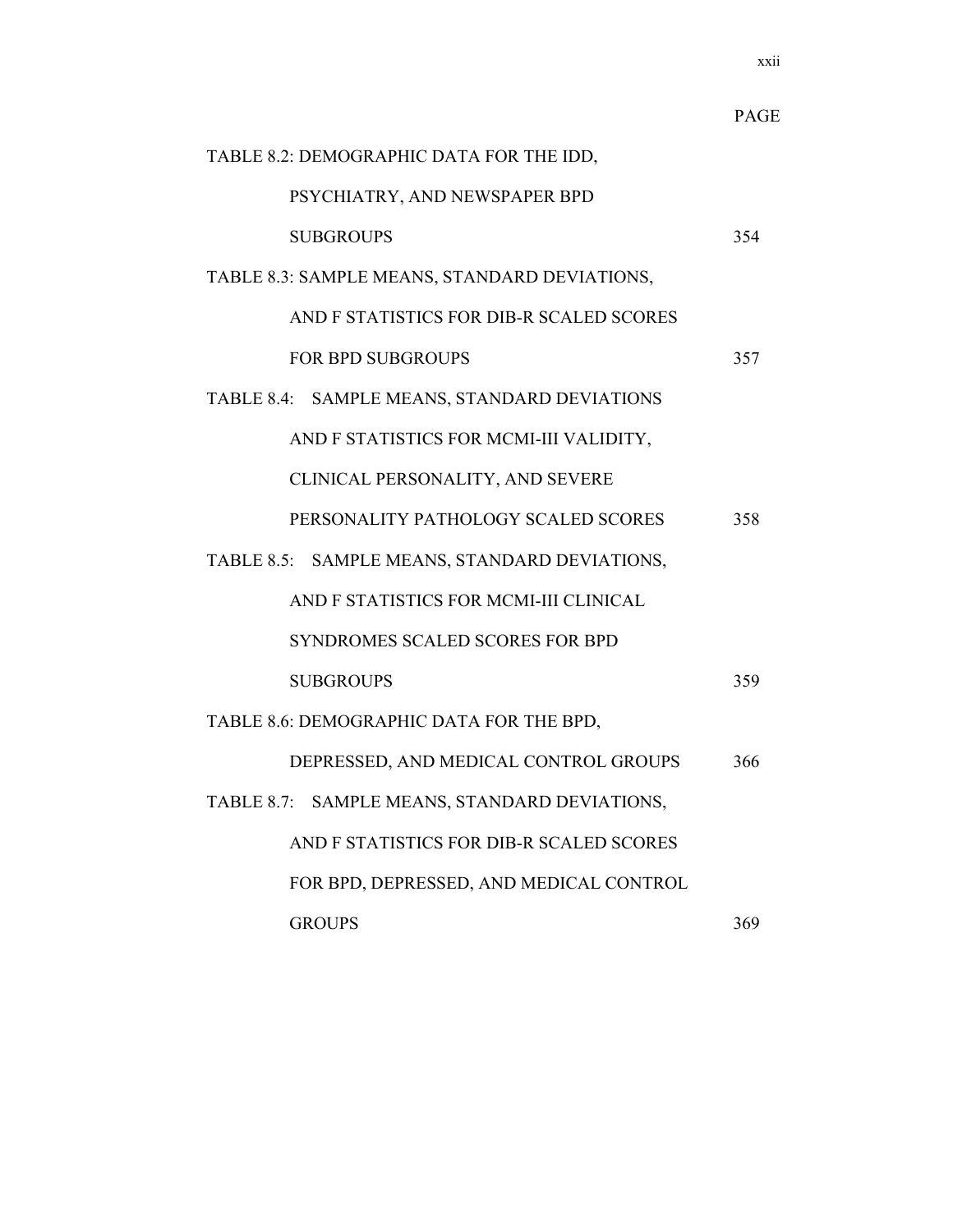|                                               | <b>PAGE</b> |
|-----------------------------------------------|-------------|
| TABLE 8.2: DEMOGRAPHIC DATA FOR THE IDD,      |             |
| PSYCHIATRY, AND NEWSPAPER BPD                 |             |
| <b>SUBGROUPS</b>                              | 354         |
| TABLE 8.3: SAMPLE MEANS, STANDARD DEVIATIONS, |             |
| AND F STATISTICS FOR DIB-R SCALED SCORES      |             |
| <b>FOR BPD SUBGROUPS</b>                      | 357         |
| TABLE 8.4: SAMPLE MEANS, STANDARD DEVIATIONS  |             |
| AND F STATISTICS FOR MCMI-III VALIDITY,       |             |
| CLINICAL PERSONALITY, AND SEVERE              |             |
| PERSONALITY PATHOLOGY SCALED SCORES           | 358         |
| TABLE 8.5: SAMPLE MEANS, STANDARD DEVIATIONS, |             |
| AND F STATISTICS FOR MCMI-III CLINICAL        |             |
| <b>SYNDROMES SCALED SCORES FOR BPD</b>        |             |
| <b>SUBGROUPS</b>                              | 359         |
| TABLE 8.6: DEMOGRAPHIC DATA FOR THE BPD,      |             |
| DEPRESSED, AND MEDICAL CONTROL GROUPS         | 366         |
| TABLE 8.7: SAMPLE MEANS, STANDARD DEVIATIONS, |             |
| AND F STATISTICS FOR DIB-R SCALED SCORES      |             |
| FOR BPD, DEPRESSED, AND MEDICAL CONTROL       |             |
| <b>GROUPS</b>                                 | 369         |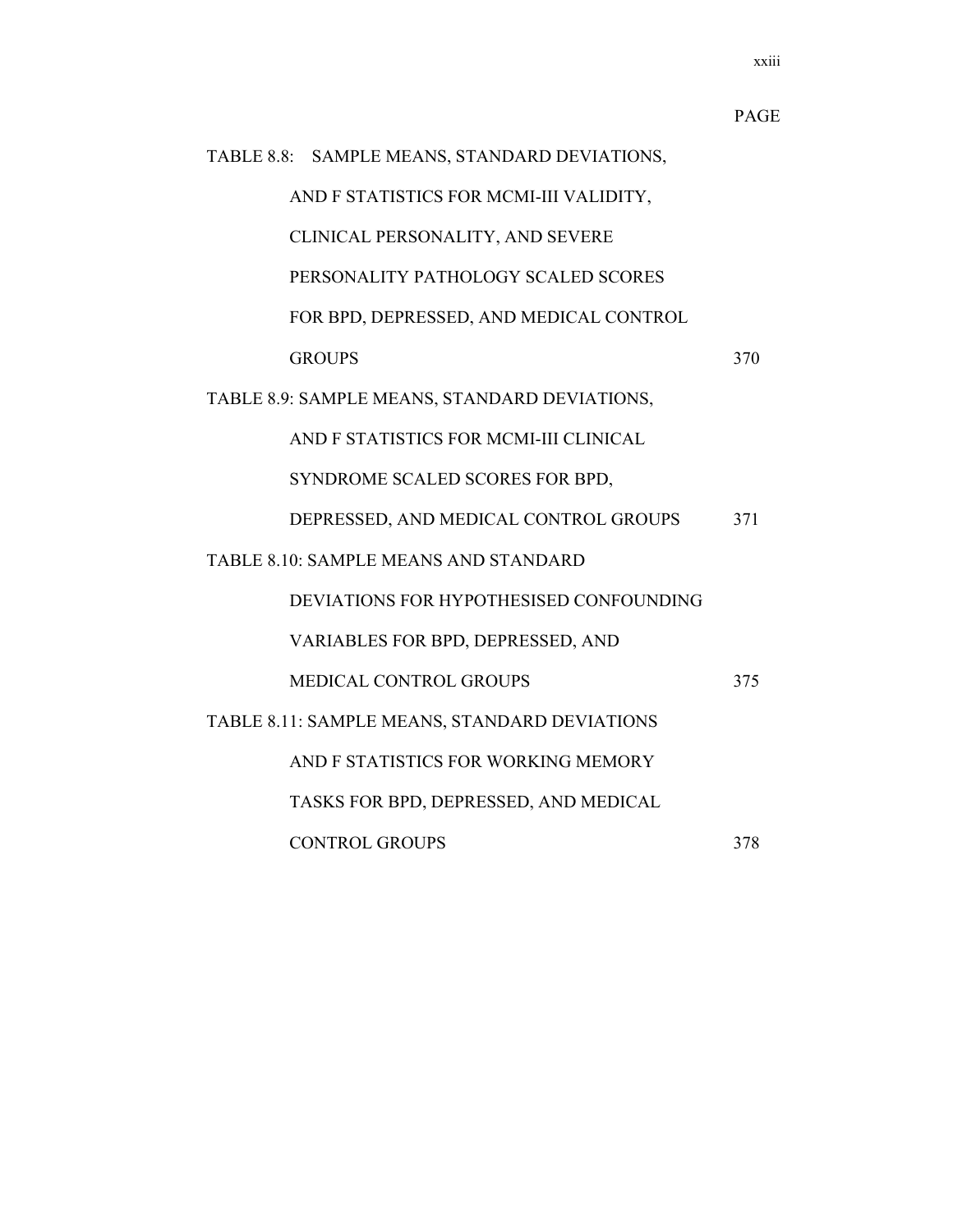|                                               | <b>PAGE</b> |
|-----------------------------------------------|-------------|
| TABLE 8.8: SAMPLE MEANS, STANDARD DEVIATIONS, |             |
| AND F STATISTICS FOR MCMI-III VALIDITY,       |             |
| CLINICAL PERSONALITY, AND SEVERE              |             |
| PERSONALITY PATHOLOGY SCALED SCORES           |             |
| FOR BPD, DEPRESSED, AND MEDICAL CONTROL       |             |
| <b>GROUPS</b>                                 | 370         |
| TABLE 8.9: SAMPLE MEANS, STANDARD DEVIATIONS, |             |
| AND F STATISTICS FOR MCMI-III CLINICAL        |             |
| SYNDROME SCALED SCORES FOR BPD,               |             |
| DEPRESSED, AND MEDICAL CONTROL GROUPS         | 371         |
| <b>TABLE 8.10: SAMPLE MEANS AND STANDARD</b>  |             |
| DEVIATIONS FOR HYPOTHESISED CONFOUNDING       |             |
| VARIABLES FOR BPD, DEPRESSED, AND             |             |
| <b>MEDICAL CONTROL GROUPS</b>                 | 375         |
| TABLE 8.11: SAMPLE MEANS, STANDARD DEVIATIONS |             |
| AND F STATISTICS FOR WORKING MEMORY           |             |
| TASKS FOR BPD, DEPRESSED, AND MEDICAL         |             |
| <b>CONTROL GROUPS</b>                         | 378         |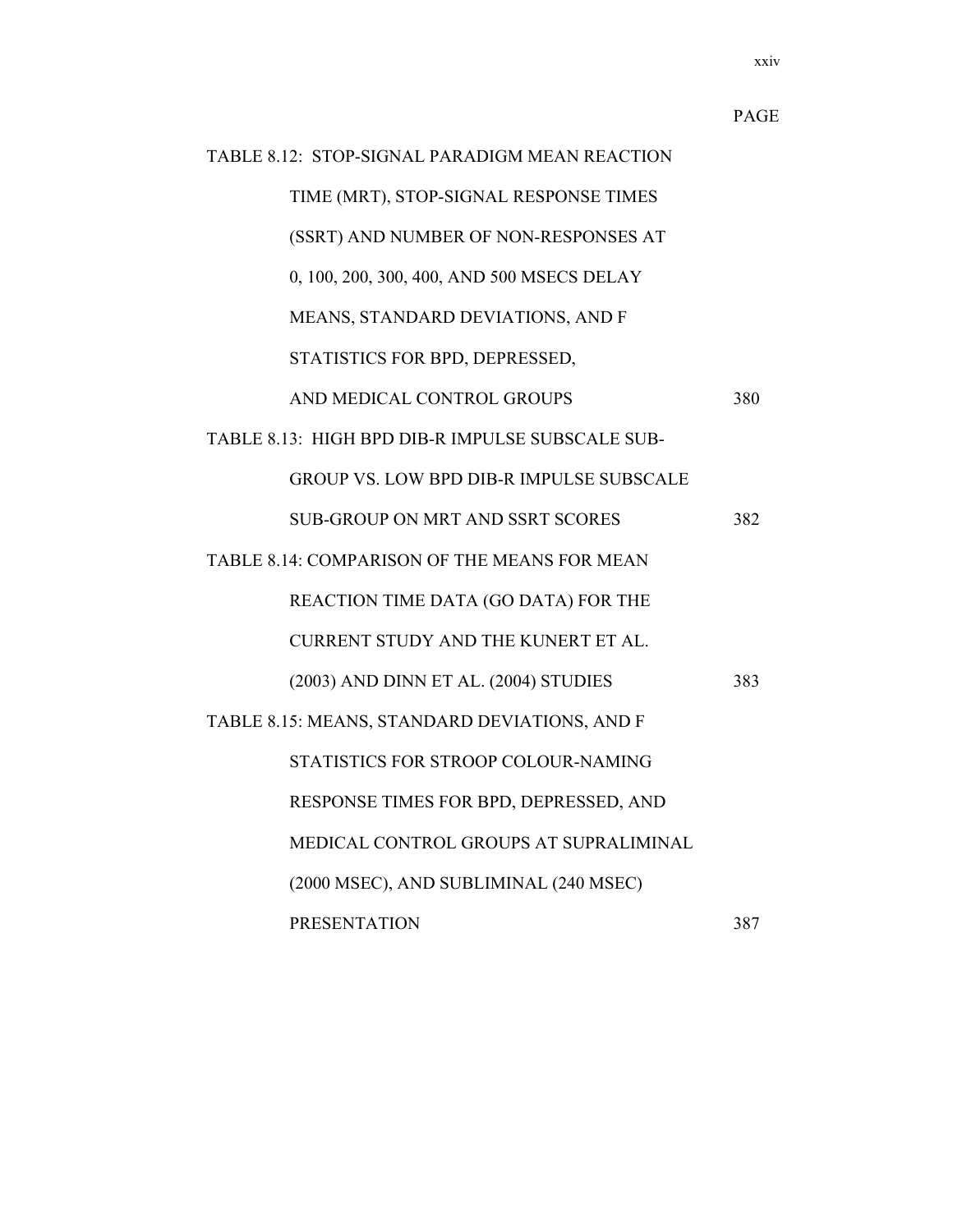|                                                  | <b>PAGE</b> |
|--------------------------------------------------|-------------|
| TABLE 8.12: STOP-SIGNAL PARADIGM MEAN REACTION   |             |
| TIME (MRT), STOP-SIGNAL RESPONSE TIMES           |             |
| (SSRT) AND NUMBER OF NON-RESPONSES AT            |             |
| 0, 100, 200, 300, 400, AND 500 MSECS DELAY       |             |
| MEANS, STANDARD DEVIATIONS, AND F                |             |
| STATISTICS FOR BPD, DEPRESSED,                   |             |
| AND MEDICAL CONTROL GROUPS                       | 380         |
| TABLE 8.13: HIGH BPD DIB-R IMPULSE SUBSCALE SUB- |             |
| <b>GROUP VS. LOW BPD DIB-R IMPULSE SUBSCALE</b>  |             |
| <b>SUB-GROUP ON MRT AND SSRT SCORES</b>          | 382         |
| TABLE 8.14: COMPARISON OF THE MEANS FOR MEAN     |             |
| REACTION TIME DATA (GO DATA) FOR THE             |             |
| CURRENT STUDY AND THE KUNERT ET AL.              |             |
| (2003) AND DINN ET AL. (2004) STUDIES            | 383         |
| TABLE 8.15: MEANS, STANDARD DEVIATIONS, AND F    |             |
| STATISTICS FOR STROOP COLOUR-NAMING              |             |
| RESPONSE TIMES FOR BPD, DEPRESSED, AND           |             |
| MEDICAL CONTROL GROUPS AT SUPRALIMINAL           |             |
| (2000 MSEC), AND SUBLIMINAL (240 MSEC)           |             |
| <b>PRESENTATION</b>                              | 387         |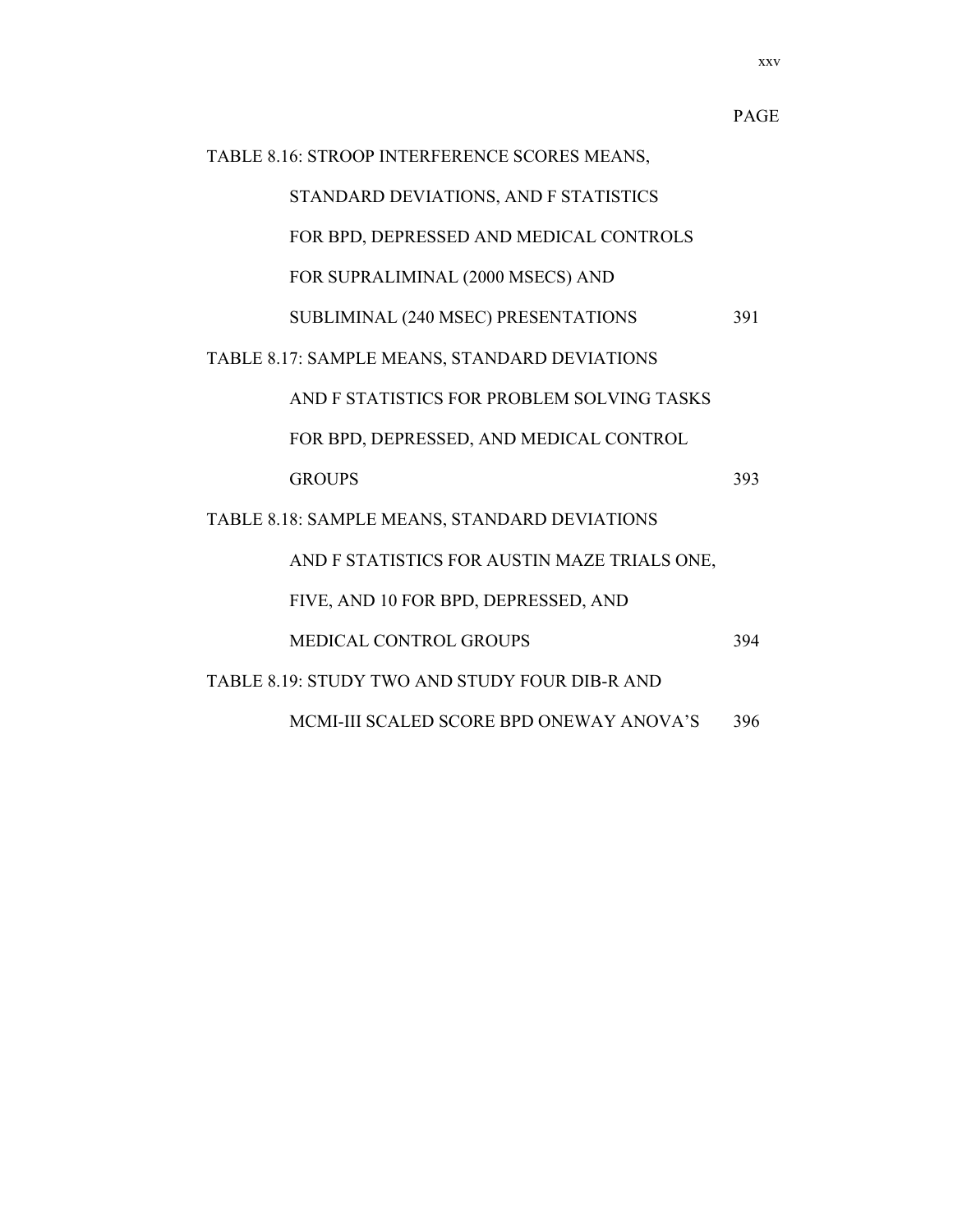| TABLE 8.16: STROOP INTERFERENCE SCORES MEANS, |                                                |     |  |
|-----------------------------------------------|------------------------------------------------|-----|--|
|                                               | STANDARD DEVIATIONS, AND F STATISTICS          |     |  |
|                                               | FOR BPD, DEPRESSED AND MEDICAL CONTROLS        |     |  |
|                                               | FOR SUPRALIMINAL (2000 MSECS) AND              |     |  |
|                                               | SUBLIMINAL (240 MSEC) PRESENTATIONS            | 391 |  |
|                                               | TABLE 8.17: SAMPLE MEANS, STANDARD DEVIATIONS  |     |  |
|                                               | AND F STATISTICS FOR PROBLEM SOLVING TASKS     |     |  |
|                                               | FOR BPD, DEPRESSED, AND MEDICAL CONTROL        |     |  |
|                                               | <b>GROUPS</b>                                  | 393 |  |
| TABLE 8.18: SAMPLE MEANS, STANDARD DEVIATIONS |                                                |     |  |
|                                               | AND F STATISTICS FOR AUSTIN MAZE TRIALS ONE,   |     |  |
|                                               | FIVE, AND 10 FOR BPD, DEPRESSED, AND           |     |  |
|                                               | <b>MEDICAL CONTROL GROUPS</b>                  | 394 |  |
|                                               | TABLE 8.19: STUDY TWO AND STUDY FOUR DIB-R AND |     |  |
|                                               | MCMI-III SCALED SCORE BPD ONEWAY ANOVA'S       | 396 |  |

xxv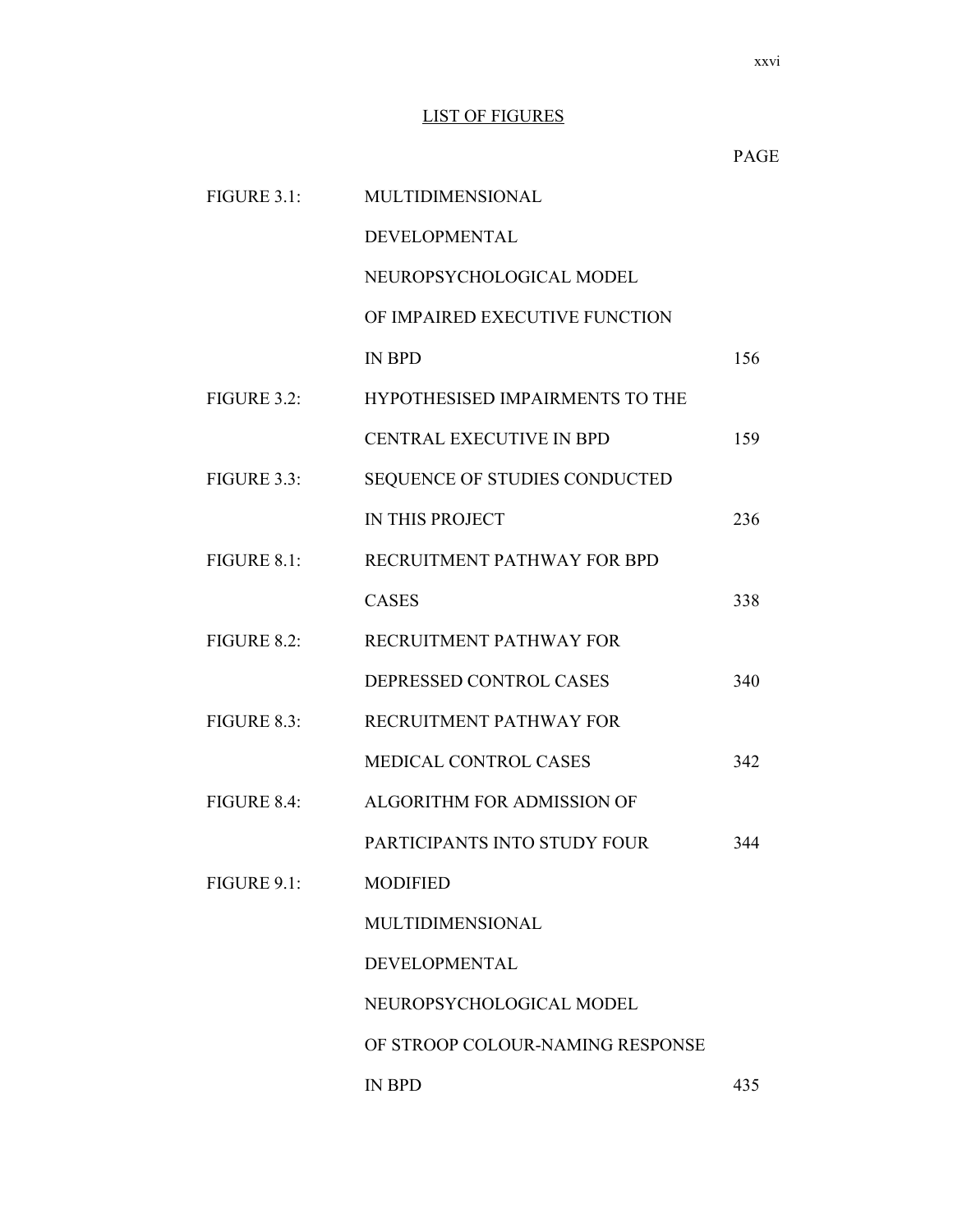#### LIST OF FIGURES

|             |                                  | <b>PAGE</b> |
|-------------|----------------------------------|-------------|
| FIGURE 3.1: | MULTIDIMENSIONAL                 |             |
|             | DEVELOPMENTAL                    |             |
|             | NEUROPSYCHOLOGICAL MODEL         |             |
|             | OF IMPAIRED EXECUTIVE FUNCTION   |             |
|             | <b>IN BPD</b>                    | 156         |
| FIGURE 3.2: | HYPOTHESISED IMPAIRMENTS TO THE  |             |
|             | <b>CENTRAL EXECUTIVE IN BPD</b>  | 159         |
| FIGURE 3.3: | SEQUENCE OF STUDIES CONDUCTED    |             |
|             | IN THIS PROJECT                  | 236         |
| FIGURE 8.1: | RECRUITMENT PATHWAY FOR BPD      |             |
|             | <b>CASES</b>                     | 338         |
| FIGURE 8.2: | RECRUITMENT PATHWAY FOR          |             |
|             | DEPRESSED CONTROL CASES          | 340         |
| FIGURE 8.3: | RECRUITMENT PATHWAY FOR          |             |
|             | MEDICAL CONTROL CASES            | 342         |
| FIGURE 8.4: | ALGORITHM FOR ADMISSION OF       |             |
|             | PARTICIPANTS INTO STUDY FOUR     | 344         |
| FIGURE 9.1: | <b>MODIFIED</b>                  |             |
|             | MULTIDIMENSIONAL                 |             |
|             | DEVELOPMENTAL                    |             |
|             | NEUROPSYCHOLOGICAL MODEL         |             |
|             | OF STROOP COLOUR-NAMING RESPONSE |             |
|             | <b>IN BPD</b>                    | 435         |

xxvi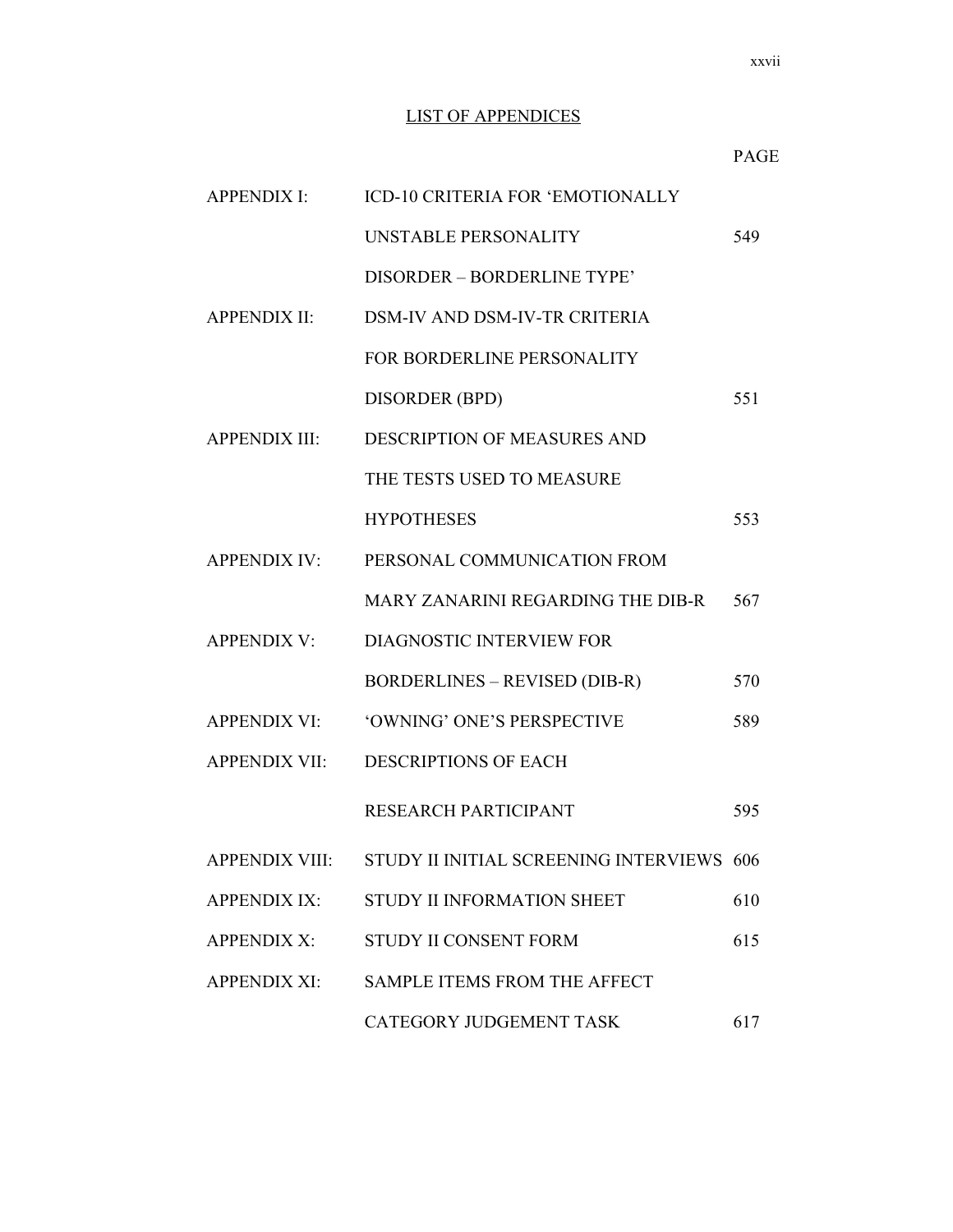#### LIST OF APPENDICES

| <b>APPENDIX I:</b>   | ICD-10 CRITERIA FOR 'EMOTIONALLY                         |     |
|----------------------|----------------------------------------------------------|-----|
|                      | UNSTABLE PERSONALITY                                     | 549 |
|                      | DISORDER - BORDERLINE TYPE'                              |     |
| <b>APPENDIX II:</b>  | <b>DSM-IV AND DSM-IV-TR CRITERIA</b>                     |     |
|                      | FOR BORDERLINE PERSONALITY                               |     |
|                      | DISORDER (BPD)                                           | 551 |
| <b>APPENDIX III:</b> | DESCRIPTION OF MEASURES AND                              |     |
|                      | THE TESTS USED TO MEASURE                                |     |
|                      | <b>HYPOTHESES</b>                                        | 553 |
| <b>APPENDIX IV:</b>  | PERSONAL COMMUNICATION FROM                              |     |
|                      | MARY ZANARINI REGARDING THE DIB-R                        | 567 |
| <b>APPENDIX V:</b>   | DIAGNOSTIC INTERVIEW FOR                                 |     |
|                      | <b>BORDERLINES – REVISED (DIB-R)</b>                     | 570 |
| <b>APPENDIX VI:</b>  | 'OWNING' ONE'S PERSPECTIVE                               | 589 |
| <b>APPENDIX VII:</b> | <b>DESCRIPTIONS OF EACH</b>                              |     |
|                      | RESEARCH PARTICIPANT                                     | 595 |
|                      | APPENDIX VIII: STUDY II INITIAL SCREENING INTERVIEWS 606 |     |
| <b>APPENDIX IX:</b>  | STUDY II INFORMATION SHEET                               | 610 |
| <b>APPENDIX X:</b>   | STUDY II CONSENT FORM                                    | 615 |
| <b>APPENDIX XI:</b>  | SAMPLE ITEMS FROM THE AFFECT                             |     |
|                      | CATEGORY JUDGEMENT TASK                                  | 617 |